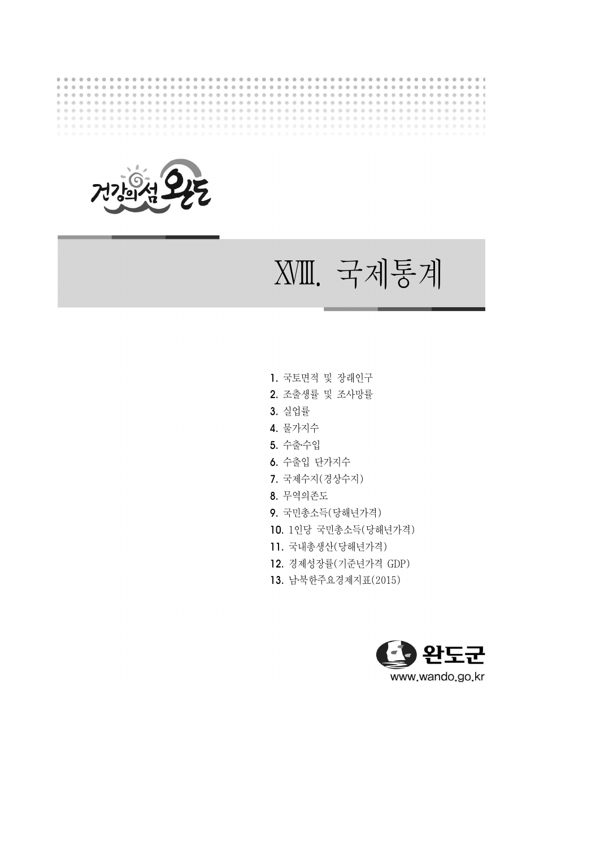



ⅩⅧ . 국제통계

- 1. 국토면적 및 장래인구
- 2. 조출생률 및 조사망률
- 3. 실업률
- 4. 물가지수
- 5. 수출‧수입
- 6. 수출입 단가지수
- 7. 국제수지(경상수지)
- 8. 무역의존도
- 9. 국민총소득(당해년가격)
- 10. 1인당 국민총소득(당해년가격)
- 11. 국내총생산(당해년가격)
- 12. 경제성장률(기준년가격 GDP)
- 13. 남‧북한주요경제지표(2015)

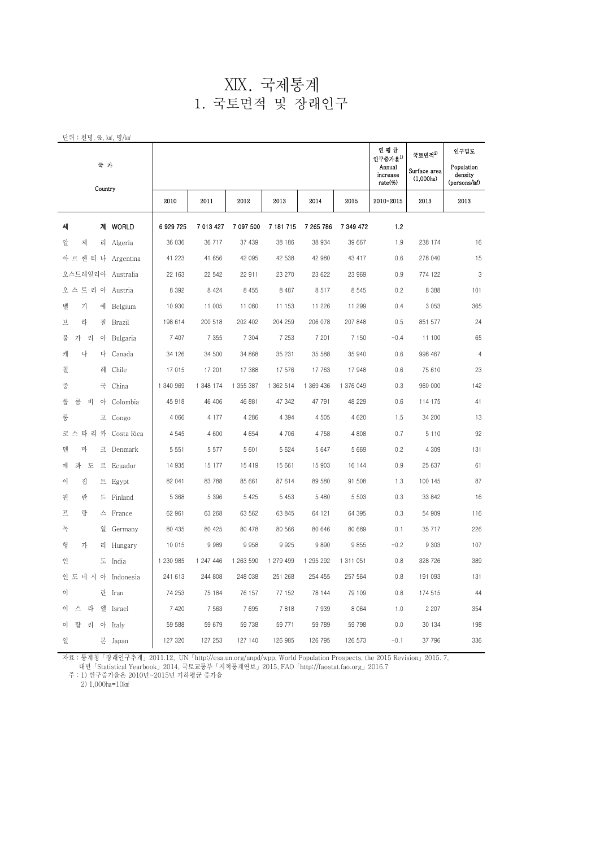#### $XIX.$  국제통계 1. 국토면적 및 장래인구

| 단위 : 천명, %, km2, 명/km2       |           |           |           |           |           |           |                                                             |                                                 |                                               |
|------------------------------|-----------|-----------|-----------|-----------|-----------|-----------|-------------------------------------------------------------|-------------------------------------------------|-----------------------------------------------|
| 국 가<br>Country               |           |           |           |           |           |           | 연평균<br>인구중가율 <sup>1)</sup><br>Annual<br>increase<br>rate(%) | 국토면적 <sup>2)</sup><br>Surface area<br>(1,000ha) | 인구밀도<br>Population<br>density<br>(persons/km) |
|                              | 2010      | 2011      | 2012      | 2013      | 2014      | 2015      | 2010-2015                                                   | 2013                                            | 2013                                          |
| 계 WORLD<br>세                 | 6 929 725 | 7 013 427 | 7 097 500 | 7 181 715 | 7 265 786 | 7 349 472 | 1.2                                                         |                                                 |                                               |
| 제<br>앞<br>리 Algeria          | 36 036    | 36 717    | 37 439    | 38 186    | 38 934    | 39 667    | 1.9                                                         | 238 174                                         | 16                                            |
| 아 르 헨 티 나<br>Argentina       | 41 223    | 41 656    | 42 095    | 42 538    | 42 980    | 43 417    | 0.6                                                         | 278 040                                         | 15                                            |
| 오스트레일리아 Australia            | 22 163    | 22 542    | 22 911    | 23 270    | 23 622    | 23 969    | 0.9                                                         | 774 122                                         | 3                                             |
| 오 스 트 리 아 Austria            | 8 3 9 2   | 8 4 2 4   | 8 4 5 5   | 8 4 8 7   | 8517      | 8 5 4 5   | 0.2                                                         | 8 3 8 8                                         | 101                                           |
| 기<br>벨<br>에<br>Belgium       | 10 930    | 11 005    | 11 080    | 11 153    | 11 2 26   | 11 299    | 0.4                                                         | 3 0 5 3                                         | 365                                           |
| 라<br>旦<br>질<br>Brazil        | 198 614   | 200 518   | 202 402   | 204 259   | 206 078   | 207 848   | 0.5                                                         | 851 577                                         | 24                                            |
| 불<br>가<br>리<br>아<br>Bulgaria | 7 407     | 7 3 5 5   | 7 3 0 4   | 7 2 5 3   | 7 201     | 7 1 5 0   | $-0.4$                                                      | 11 100                                          | 65                                            |
| 나<br>캐<br>다<br>Canada        | 34 126    | 34 500    | 34 868    | 35 231    | 35 588    | 35 940    | 0.6                                                         | 998 467                                         | $\overline{4}$                                |
| 칠<br>레<br>Chile              | 17 015    | 17 201    | 17 388    | 17 576    | 17763     | 17 948    | 0.6                                                         | 75 610                                          | 23                                            |
| 중<br>국<br>China              | 1 340 969 | 1 348 174 | 1 355 387 | 1 362 514 | 1 369 436 | 1 376 049 | 0.3                                                         | 960 000                                         | 142                                           |
| 롬<br>콜<br>비<br>아<br>Colombia | 45 918    | 46 406    | 46 881    | 47 342    | 47 791    | 48 229    | 0.6                                                         | 114 175                                         | 41                                            |
| 콩<br>고 Congo                 | 4 0 6 6   | 4 1 7 7   | 4 2 8 6   | 4 3 9 4   | 4505      | 4 6 20    | 1.5                                                         | 34 200                                          | 13                                            |
| 코 스 타 리 카<br>Costa Rica      | 4 5 4 5   | 4 600     | 4 6 5 4   | 4 706     | 4 7 5 8   | 4 8 0 8   | 0.7                                                         | 5 1 1 0                                         | 92                                            |
| 마<br>덴<br>Denmark<br>크       | 5 5 5 1   | 5 5 7 7   | 5 6 0 1   | 5 6 2 4   | 5 6 4 7   | 5 6 6 9   | 0.2                                                         | 4 3 0 9                                         | 131                                           |
| 콰<br>에<br>. 도<br>三 Ecuador   | 14 935    | 15 177    | 15 419    | 15 661    | 15 903    | 16 144    | 0.9                                                         | 25 637                                          | 61                                            |
| 집<br>이<br>三 Egypt            | 82 041    | 83 788    | 85 661    | 87 614    | 89 580    | 91 508    | 1.3                                                         | 100 145                                         | 87                                            |
| 핀<br>란<br>드 Finland          | 5 3 6 8   | 5 3 9 6   | 5 4 2 5   | 5 4 5 3   | 5 4 8 0   | 5 5 0 3   | 0.3                                                         | 33 842                                          | 16                                            |
| 랑<br>프<br>스 France           | 62 961    | 63 268    | 63 562    | 63 845    | 64 121    | 64 395    | 0.3                                                         | 54 909                                          | 116                                           |
| 독<br>일<br>Germany            | 80 435    | 80 425    | 80 478    | 80 566    | 80 646    | 80 689    | 0.1                                                         | 35 717                                          | 226                                           |
| 헝<br>가<br>리<br>Hungary       | 10 015    | 9 9 8 9   | 9958      | 9925      | 9890      | 9855      | $-0.2$                                                      | 9 3 0 3                                         | 107                                           |
| 인<br>도 India                 | 1 230 985 | 1 247 446 | 1 263 590 | 1 279 499 | 1 295 292 | 1 311 051 | 0.8                                                         | 328 726                                         | 389                                           |
| 인 도 네 시 아 Indonesia          | 241 613   | 244 808   | 248 038   | 251 268   | 254 455   | 257 564   | 0.8                                                         | 191 093                                         | 131                                           |
| 이<br>란<br>Iran               | 74 253    | 75 184    | 76 157    | 77 152    | 78 144    | 79 109    | 0.8                                                         | 174 515                                         | 44                                            |
| 스<br>라<br>엘<br>이<br>Israel   | 7 4 20    | 7 5 6 3   | 7695      | 7818      | 7939      | 8 0 6 4   | 1.0                                                         | 2 2 0 7                                         | 354                                           |
| 탈<br>이<br>리<br>아 Italy       | 59 588    | 59 679    | 59 738    | 59 771    | 59 789    | 59 798    | 0.0                                                         | 30 134                                          | 198                                           |
| 일<br>본 Japan                 | 127 320   | 127 253   | 127 140   | 126 985   | 126 795   | 126 573   | $-0.1$                                                      | 37 796                                          | 336                                           |

자료 : 통계청「장래인구추계」2011.12, UN「http://esa.un.org/unpd/wpp, World Population Prospects, the 2015 Revision」2015. 7,

대만「Statistical Yearbook」2014, 국토교통부「지적통계연보」2015, FAO「http://faostat.fao.org」2016.7

주 : 1) 인구증가율은 2010년~2015년 기하평균 증가율

2) 1,000ha=10km<sup>2</sup>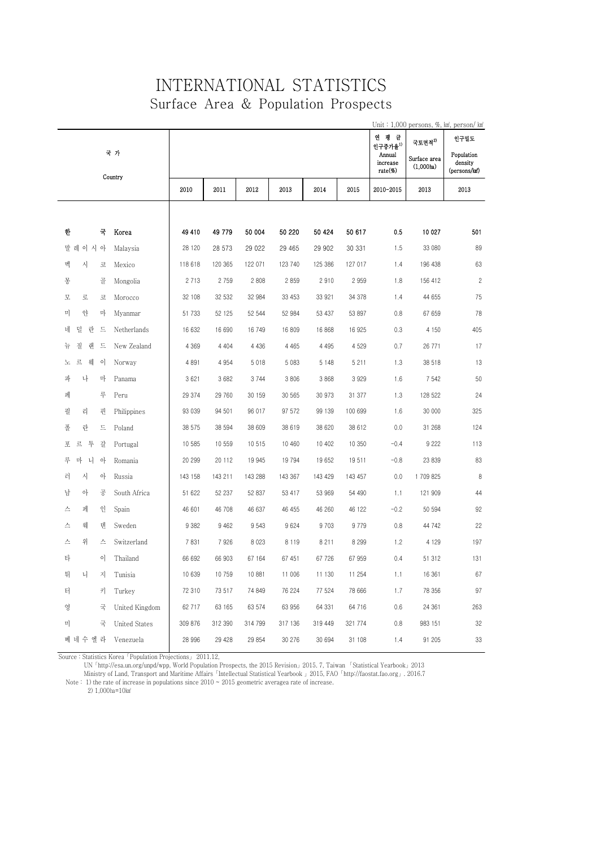### INTERNATIONAL STATISTICS Surface Area & Population Prospects

|                                 |                          |         |         |         |         |         |                               |                                        | Unit: 1,000 persons, %, km, person/ km              |
|---------------------------------|--------------------------|---------|---------|---------|---------|---------|-------------------------------|----------------------------------------|-----------------------------------------------------|
|                                 |                          |         |         |         |         |         | 연 평 균<br>인구중가율 <sup>1)</sup>  | 국토면적 <sup>2)</sup>                     | 인구밀도                                                |
| 국 가<br>Country                  |                          |         |         |         |         |         | Annual<br>increase<br>rate(%) | Surface area<br>(1,000 <sub>ha</sub> ) | Population<br>density<br>(persons/km <sup>2</sup> ) |
|                                 | 2010                     | 2011    | 2012    | 2013    | 2014    | 2015    | 2010-2015                     | 2013                                   | 2013                                                |
|                                 |                          |         |         |         |         |         |                               |                                        |                                                     |
| 한<br>국<br>Korea                 | 49 410                   | 49 779  | 50 004  | 50 220  | 50 424  | 50 617  | 0.5                           | 10 027                                 | 501                                                 |
| 말 레<br>이 시 아<br>Malaysia        | 28 120                   | 28 573  | 29 0 22 | 29 465  | 29 902  | 30 331  | 1.5                           | 33 080                                 | 89                                                  |
| 시<br>멕<br>코<br>Mexico           | 118 618                  | 120 365 | 122 071 | 123 740 | 125 386 | 127 017 | 1.4                           | 196 438                                | 63                                                  |
| 몽<br>골<br>Mongolia              | 2 7 1 3                  | 2 7 5 9 | 2 8 0 8 | 2859    | 2910    | 2 9 5 9 | 1.8                           | 156 412                                | $\overline{c}$                                      |
| 로<br>모<br>코<br>Morocco          | 32 108                   | 32 532  | 32 984  | 33 453  | 33 921  | 34 378  | 1.4                           | 44 655                                 | 75                                                  |
| 얀<br>미<br>마<br>Myanmar          | 51 733                   | 52 125  | 52 544  | 52 984  | 53 437  | 53 897  | 0.8                           | 67 659                                 | 78                                                  |
| 네<br>덜 란 드<br>Netherlands       | 16 632                   | 16 690  | 16 749  | 16 809  | 16 868  | 16 925  | 0.3                           | 4 1 5 0                                | 405                                                 |
| 질<br>랜<br>뉴<br>트<br>New Zealand | 4 3 6 9                  | 4 4 0 4 | 4 4 3 6 | 4 4 6 5 | 4 4 9 5 | 4 5 2 9 | 0.7                           | 26 771                                 | 17                                                  |
| 르<br>웨<br>이<br>노<br>Norway      | 4 8 9 1                  | 4 9 5 4 | 5 0 1 8 | 5 0 8 3 | 5 148   | 5 2 1 1 | 1.3                           | 38 518                                 | 13                                                  |
| 파<br>나<br>마<br>Panama           | 3 6 21                   | 3 6 8 2 | 3744    | 3 8 0 6 | 3 8 6 8 | 3 9 2 9 | 1.6                           | 7 5 4 2                                | 50                                                  |
| 페<br>루<br>Peru                  | 29 374                   | 29 760  | 30 159  | 30 565  | 30 973  | 31 377  | 1.3                           | 128 522                                | 24                                                  |
| 필<br>리<br>핀<br>Philippines      | 93 039                   | 94 501  | 96 017  | 97 572  | 99 139  | 100 699 | 1.6                           | 30 000                                 | 325                                                 |
| 란<br>폴<br>드<br>Poland           | 38 575                   | 38 594  | 38 609  | 38 619  | 38 620  | 38 612  | 0.0                           | 31 268                                 | 124                                                 |
| 포<br>르<br>투<br>갈<br>Portugal    | 10 585                   | 10 559  | 10 515  | 10 460  | 10 402  | 10 350  | $-0.4$                        | 9 2 2 2                                | 113                                                 |
| 루<br>마 니<br>아<br>Romania        | 20 299                   | 20 112  | 19 945  | 19 794  | 19 652  | 19511   | $-0.8$                        | 23 839                                 | 83                                                  |
| 러<br>시<br>아<br>Russia           | 143 158                  | 143 211 | 143 288 | 143 367 | 143 429 | 143 457 | 0.0                           | 1 709 825                              | 8                                                   |
| 남<br>아<br>공<br>South Africa     | 51 622                   | 52 237  | 52 837  | 53 417  | 53 969  | 54 490  | 1.1                           | 121 909                                | 44                                                  |
| 페<br>인<br>스<br>Spain            | 46 601                   | 46 708  | 46 637  | 46 455  | 46 260  | 46 122  | $-0.2$                        | 50 594                                 | 92                                                  |
| 웨<br>덴<br>스<br>Sweden           | 9 3 8 2                  | 9 4 6 2 | 9543    | 9624    | 9 7 0 3 | 9779    | 0.8                           | 44 742                                 | 22                                                  |
| 위<br>스<br>스<br>Switzerland      | 7831                     | 7926    | 8 0 2 3 | 8 1 1 9 | 8 2 1 1 | 8 2 9 9 | 1.2                           | 4 1 2 9                                | 197                                                 |
| 타<br>이<br>Thailand              | 66 692                   | 66 903  | 67 164  | 67 451  | 67 726  | 67 959  | 0.4                           | 51 312                                 | 131                                                 |
| 튀<br>니<br>자<br>Tunisia          | 10 639                   | 10759   | 10 881  | 11 006  | 11 130  | 11 254  | 1.1                           | 16 361                                 | 67                                                  |
| 터<br>키<br>Turkey                | 72 310                   | 73 517  | 74 849  | 76 224  | 77 524  | 78 666  | 1.7                           | 78 356                                 | 97                                                  |
| 영<br>국                          | United Kingdom<br>62 717 | 63 165  | 63 574  | 63 956  | 64 331  | 64 716  | 0.6                           | 24 361                                 | 263                                                 |
| 미<br>국<br><b>United States</b>  | 309 876                  | 312 390 | 314 799 | 317 136 | 319 449 | 321 774 | 0.8                           | 983 151                                | 32                                                  |
| 베 네 수 엘 라<br>Venezuela          | 28 996                   | 29 4 28 | 29 854  | 30 276  | 30 694  | 31 108  | 1.4                           | 91 205                                 | 33                                                  |

Source : Statistics Korea「Population Projections」 2011.12,

UN「http://esa.un.org/unpd/wpp, World Population Prospects, the 2015 Revision」2015. 7, Taiwan 「Statistical Yearbook」2013

Ministry of Land, Transport and Maritime Affairs「Intellectual Statistical Yearbook 」2015, FAO「http://faostat.fao.org」. 2016.7

Note : 1) the rate of increase in populations since  $2010 \approx 2015$  geometric averagea rate of increase.

2) 1,000ha=10km<sup>2</sup>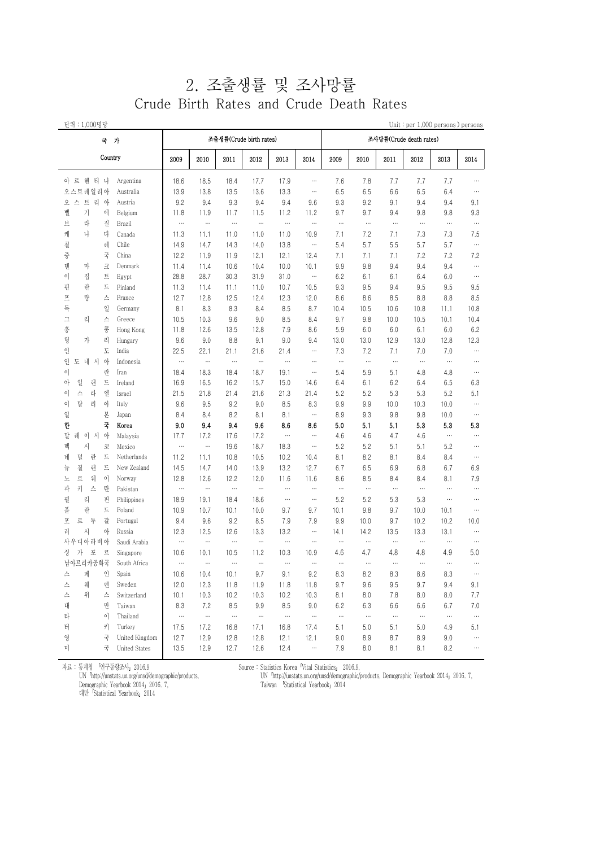### 2. 조출생률 및 조사망률 Crude Birth Rates and Crude Death Rates

| 단위 : 1,000명당             |                      |          |           |           |                         |           |          |          |          |                         |           | Unit: per 1,000 persons ) persons |           |
|--------------------------|----------------------|----------|-----------|-----------|-------------------------|-----------|----------|----------|----------|-------------------------|-----------|-----------------------------------|-----------|
| 국 가                      |                      |          |           |           | 조출생률(Crude birth rates) |           |          |          |          | 조사망률(Crude death rates) |           |                                   |           |
| Country                  |                      | 2009     | 2010      | 2011      | 2012                    | 2013      | 2014     | 2009     | 2010     | 2011                    | 2012      | 2013                              | 2014      |
| 아 르 헤 티 나                | Argentina            | 18.6     | 18.5      | 18.4      | 17.7                    | 17.9      | $\cdots$ | 7.6      | 7.8      | 7.7                     | 7.7       | 7.7                               | $\cdots$  |
| 오스트레일리아                  | Australia            | 13.9     | 13.8      | 13.5      | 13.6                    | 13.3      | $\cdots$ | 6.5      | 6.5      | 6.6                     | 6.5       | 6.4                               | $\cdots$  |
| 오 스 트 리 아                | Austria              | 9.2      | 9.4       | 9.3       | 9.4                     | 9.4       | 9.6      | 9.3      | 9.2      | 9.1                     | 9.4       | 9.4                               | 9.1       |
| 가<br>벨<br>에              | Belgium              | 11.8     | 11.9      | 11.7      | 11.5                    | 11.2      | 11.2     | 9.7      | 9.7      | 9.4                     | 9.8       | 9.8                               | 9.3       |
| 라<br>브<br>질              | Brazil               | $\cdots$ | $\ddotsc$ | $\ddotsc$ | $\cdots$                | $\ddotsc$ | $\cdots$ | $\cdots$ | $\cdots$ | $\ldots$                | $\cdots$  | $\cdots$                          | $\ddotsc$ |
| 나<br>캐<br>다              | Canada               | 11.3     | 11.1      | 11.0      | 11.0                    | 11.0      | 10.9     | 7.1      | 7.2      | 7.1                     | 7.3       | 7.3                               | 7.5       |
| 레<br>칠                   | Chile                | 14.9     | 14.7      | 14.3      | 14.0                    | 13.8      | $\cdots$ | 5.4      | 5.7      | 5.5                     | 5.7       | 5.7                               | $\ddotsc$ |
| 국<br>중                   | China                | 12.2     | 11.9      | 11.9      | 12.1                    | 12.1      | 12.4     | 7.1      | 7.1      | 7.1                     | 7.2       | 7.2                               | 7.2       |
| 덴<br>마<br>크              | Denmark              | 11.4     | 11.4      | 10.6      | 10.4                    | 10.0      | 10.1     | 9.9      | 9.8      | 9.4                     | 9.4       | 9.4                               | $\cdots$  |
| 집<br>트<br>이              | Egypt                | 28.8     | 28.7      | 30.3      | 31.9                    | 31.0      | $\cdots$ | 6.2      | 6.1      | 6.1                     | 6.4       | 6.0                               | $\cdots$  |
| 란<br>드<br>핀              | Finland              | 11.3     | 11.4      | 11.1      | 11.0                    | 10.7      | 10.5     | 9.3      | 9.5      | 9.4                     | 9.5       | 9.5                               | 9.5       |
| 랑<br>프<br>스              | France               | 12.7     | 12.8      | 12.5      | 12.4                    | 12.3      | 12.0     | 8.6      | 8.6      | 8.5                     | 8.8       | 8.8                               | 8.5       |
| 독<br>일                   | Germany              | 8.1      | 8.3       | 8.3       | 8.4                     | 8.5       | 8.7      | 10.4     | 10.5     | 10.6                    | 10.8      | 11.1                              | 10.8      |
| 스<br>그<br>리              | Greece               | 10.5     | 10.3      | 9.6       | 9.0                     | 8.5       | 8.4      | 9.7      | 9.8      | 10.0                    | 10.5      | 10.1                              | 10.4      |
| 홍<br>콩                   | Hong Kong            | 11.8     | 12.6      | 13.5      | 12.8                    | 7.9       | 8.6      | 5.9      | 6.0      | 6.0                     | 6.1       | 6.0                               | 6.2       |
| 리<br>헝<br>가              | Hungary              | 9.6      | 9.0       | 8.8       | 9.1                     | 9.0       | 9.4      | 13.0     | 13.0     | 12.9                    | 13.0      | 12.8                              | 12.3      |
| 도<br>인                   | India                | 22.5     | 22.1      | 21.1      | 21.6                    | 21.4      | $\cdots$ | 7.3      | 7.2      | 7.1                     | 7.0       | 7.0                               | $\cdots$  |
| $\circ$<br>인<br>도<br>네 시 | Indonesia            | $\cdots$ | $\ldots$  | $\cdots$  | $\cdots$                | $\cdots$  | $\cdots$ | $\ldots$ | $\cdots$ | $\ldots$                | $\cdots$  | $\cdots$                          | $\cdots$  |
| 란<br>이                   | Iran                 | 18.4     | 18.3      | 18.4      | 18.7                    | 19.1      | $\cdots$ | 5.4      | 5.9      | 5.1                     | 4.8       | 4.8                               | $\cdots$  |
| 일<br>드<br>아<br>랜         | Ireland              | 16.9     | 16.5      | 16.2      | 15.7                    | 15.0      | 14.6     | 6.4      | 6.1      | 6.2                     | 6.4       | 6.5                               | 6.3       |
| 엘<br>스<br>라<br>이         | Israel               | 21.5     | 21.8      | 21.4      | 21.6                    | 21.3      | 21.4     | 5.2      | 5.2      | 5.3                     | 5.3       | 5.2                               | 5.1       |
| 탈<br>리<br>아<br>이         | Italy                | 9.6      | 9.5       | 9.2       | 9.0                     | 8.5       | 8.3      | 9.9      | 9.9      | 10.0                    | 10.3      | 10.0                              | $\cdots$  |
| 본<br>일                   | Japan                | 8.4      | 8.4       | 8.2       | 8.1                     | 8.1       | $\cdots$ | 8.9      | 9.3      | 9.8                     | 9.8       | 10.0                              | $\cdots$  |
| 국<br>한                   | Korea                | 9.0      | 9.4       | 9.4       | 9.6                     | 8.6       | 8.6      | 5.0      | 5.1      | 5.1                     | 5.3       | 5.3                               | 5.3       |
| 레<br>말<br>이 시<br>아       | Malaysia             | 17.7     | 17.2      | 17.6      | 17.2                    | $\cdots$  | $\cdots$ | 4.6      | 4.6      | 4.7                     | 4.6       | $\cdots$                          | $\cdots$  |
| 시<br>멕<br>코              | Mexico               | $\cdots$ | $\cdots$  | 19.6      | 18.7                    | 18.3      | $\cdots$ | 5.2      | 5.2      | 5.1                     | 5.1       | 5.2                               | $\cdots$  |
| 덜<br>드<br>네<br>란         | Netherlands          | 11.2     | 11.1      | 10.8      | 10.5                    | 10.2      | 10.4     | 8.1      | 8.2      | 8.1                     | 8.4       | 8.4                               | $\cdots$  |
| 질<br>랜<br>드<br>뉴         | New Zealand          | 14.5     | 14.7      | 14.0      | 13.9                    | 13.2      | 12.7     | 6.7      | 6.5      | 6.9                     | 6.8       | 6.7                               | 6.9       |
| 르<br>웨<br>$\circ$<br>노   | Norway               | 12.8     | 12.6      | 12.2      | 12.0                    | 11.6      | 11.6     | 8.6      | 8.5      | 8.4                     | 8.4       | 8.1                               | 7.9       |
| 키<br>탄<br>파<br>스         | Pakistan             | $\cdots$ | $\cdots$  | $\ddotsc$ | $\cdots$                | $\cdots$  | $\cdots$ | $\cdots$ | $\cdots$ | $\cdots$                | $\cdots$  | $\cdots$                          | $\cdots$  |
| 핀<br>필<br>리              | Philippines          | 18.9     | 19.1      | 18.4      | 18.6                    | $\cdots$  | $\cdots$ | 5.2      | 5.2      | 5.3                     | 5.3       | $\cdots$                          | $\cdots$  |
| 란<br>드<br>폴              | Poland               | 10.9     | 10.7      | 10.1      | 10.0                    | 9.7       | 9.7      | 10.1     | 9.8      | 9.7                     | 10.0      | 10.1                              | $\cdots$  |
| 투<br>갈<br>포<br>르         | Portugal             | 9.4      | 9.6       | 9.2       | 8.5                     | 7.9       | 7.9      | 9.9      | 10.0     | 9.7                     | 10.2      | 10.2                              | 10.0      |
| 아<br>러<br>사              | Russia               | 12.3     | 12.5      | 12.6      | 13.3                    | 13.2      | $\cdots$ | 14.1     | 14.2     | 13.5                    | 13.3      | 13.1                              | $\cdots$  |
| 사우디아라비아                  | Saudi Arabia         | $\cdots$ | $\ldots$  | $\ldots$  | $\cdots$                | $\cdots$  | $\cdots$ | $\ldots$ | $\cdots$ | $\cdots$                | $\cdots$  | $\cdots$                          | $\cdots$  |
| 가<br>포<br>르<br>싱         | Singapore            | 10.6     | 10.1      | 10.5      | 11.2                    | 10.3      | 10.9     | 4.6      | 4.7      | 4.8                     | 4.8       | 4.9                               | 5.0       |
| 남아프리카공화국                 | South Africa         | $\cdots$ | $\cdots$  | $\cdots$  | $\ldots$                | $\cdots$  | $\cdots$ | $\cdots$ | $\ldots$ | $\cdots$                | $\cdots$  | $\cdots$                          | $\cdots$  |
| 스<br>페<br>인              | Spain                | 10.6     | 10.4      | 10.1      | 9.7                     | 9.1       | 9.2      | 8.3      | 8.2      | 8.3                     | 8.6       | 8.3                               | $\cdots$  |
| 웨<br>텐<br>스              | Sweden               | 12.0     | 12.3      | 11.8      | 11.9                    | 11.8      | 11.8     | 9.7      | 9.6      | 9.5                     | 9.7       | 9.4                               | 9.1       |
| 위<br>스<br>스              | Switzerland          | 10.1     | 10.3      | 10.2      | 10.3                    | 10.2      | 10.3     | 8.1      | 8.0      | 7.8                     | 8.0       | 8.0                               | 7.7       |
| 대<br>만                   | Taiwan               | 8.3      | 7.2       | 8.5       | 9.9                     | 8.5       | 9.0      | 6.2      | 6.3      | 6.6                     | 6.6       | 6.7                               | 7.0       |
| 타<br>$\circ$             | Thailand             | $\cdots$ | $\ldots$  | $\cdots$  | $\cdots$                | $\ldots$  |          | $\cdots$ | $\cdots$ | $\ldots$                | $\ddotsc$ | $\cdots$                          | $\cdots$  |
| 터<br>키                   | Turkey               | 17.5     | 17.2      | 16.8      | 17.1                    | 16.8      | 17.4     | 5.1      | 5.0      | 5.1                     | 5.0       | 4.9                               | 5.1       |
| 국<br>영                   | United Kingdom       | 12.7     | 12.9      | 12.8      | 12.8                    | 12.1      | 12.1     | 9.0      | 8.9      | 8.7                     | 8.9       | 9.0                               | $\cdots$  |
| 국<br>미                   | <b>United States</b> | 13.5     | 12.9      | 12.7      | 12.6                    | 12.4      | $\cdots$ | 7.9      | 8.0      | 8.1                     | 8.1       | 8.2                               | $\cdots$  |

자료 : 통계청 「인구동향조사」2016.9

UN 'http://unstats.un.org/unsd/demographic/products,<br>Demographic Yearbook 2014」2016. 7,<br>대만「Statistical Yearbook」2014

 $\begin{split} \text{Source : Statistics Korea "Vital Statistics 2016.9,} \\ \text{UN "http://unstats.un.org/uns/dlemographic/products, Demographic Yearbook 2014_2 2016.7,} \\ \text{Taiwan} \quad \text{[Statistical Yearbook 2014} \end{split}$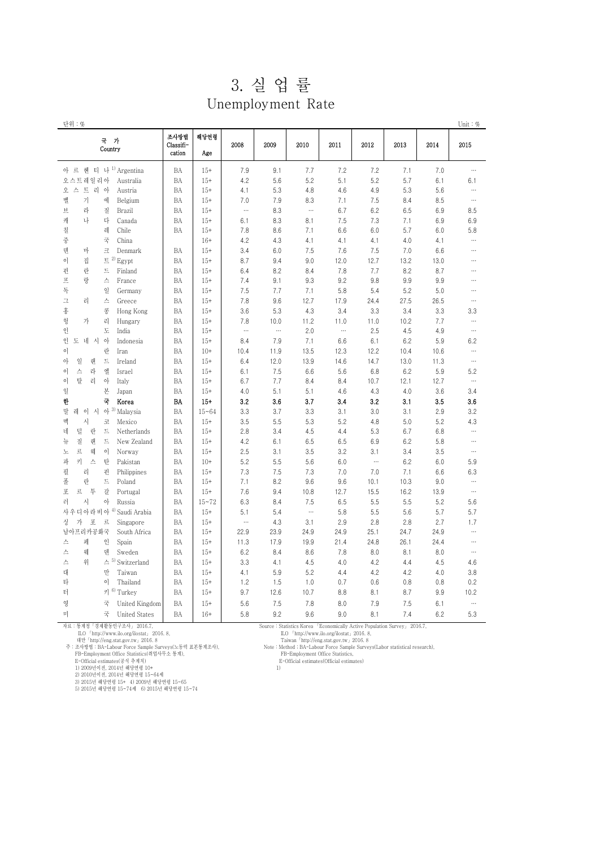| 3. 실 업 률 |  |
|----------|--|
|----------|--|

Unemployment Rate

| 단위 : %                                          |                             |             |          |          |          |          |                 |         |      | Unit: $%$ |
|-------------------------------------------------|-----------------------------|-------------|----------|----------|----------|----------|-----------------|---------|------|-----------|
| 국 가<br>Country                                  | 조사방법<br>Classifi-<br>cation | 해당연령<br>Age | 2008     | 2009     | 2010     | 2011     | 2012            | 2013    | 2014 | 2015      |
| 아르 헨 티 나 1) Argentina                           | BA                          | $15+$       | 7.9      | 9.1      | 7.7      | 7.2      | 7.2             | 7.1     | 7.0  |           |
| 오스트레일리아<br>Australia                            | BA                          | $15+$       | 4.2      | 5.6      | 5.2      | 5.1      | 5.2             | 5.7     | 6.1  | 6.1       |
| 오 스 트 리 아<br>Austria                            | BA                          | $15+$       | 4.1      | 5.3      | 4.8      | 4.6      | 4.9             | 5.3     | 5.6  | $\cdots$  |
| 벨<br>기<br>에<br>Belgium                          | BA                          | $15+$       | 7.0      | 7.9      | 8.3      | 7.1      | 7.5             | 8.4     | 8.5  | $\cdots$  |
| 브<br>라<br>질<br>Brazil                           | BA                          | $15+$       | $\cdots$ | 8.3      | $\cdots$ | 6.7      | 6.2             | 6.5     | 6.9  | 8.5       |
| 캐<br>나<br>다<br>Canada                           | BA                          | $15+$       | 6.1      | 8.3      | 8.1      | 7.5      | 7.3             | 7.1     | 6.9  | 6.9       |
| 칠<br>레<br>Chile                                 | BA                          | $15+$       | 7.8      | 8.6      | 7.1      | 6.6      | 6.0             | 5.7     | 6.0  | 5.8       |
| 중<br>국<br>China                                 |                             | $16+$       | 4.2      | 4.3      | 4.1      | 4.1      | 4.1             | 4.0     | 4.1  | $\cdots$  |
| 덴<br>마<br>크<br>Denmark                          | BA                          | $15+$       | 3.4      | 6.0      | 7.5      | 7.6      | 7.5             | 7.0     | 6.6  |           |
| $E^{2)}$ Egypt<br>이<br>집                        | BA                          | $15+$       | 8.7      | 9.4      | 9.0      | 12.0     | 12.7            | 13.2    | 13.0 |           |
| 핀<br>란<br>드<br>Finland                          | BA                          | $15+$       | 6.4      | 8.2      | 8.4      | 7.8      | 7.7             | 8.2     | 8.7  |           |
| 프<br>랑<br>스<br>France                           | BA                          | $15+$       | 7.4      | 9.1      | 9.3      | 9.2      | 9.8             | 9.9     | 9.9  |           |
| 독<br>일<br>Germany                               | BA                          | $15+$       | 7.5      | 7.7      | 7.1      | 5.8      | 5.4             | 5.2     | 5.0  |           |
| $\Box$<br>스<br>리<br>Greece                      | BA                          | $15+$       | 7.8      | 9.6      | 12.7     | 17.9     | 24.4            | 27.5    | 26.5 | $\cdots$  |
| 홍<br>콩<br>Hong Kong                             | BA                          | $15+$       | 3.6      | 5.3      | 4.3      | 3.4      | 3.3             | 3.4     | 3.3  | 3.3       |
| 헝<br>가<br>리<br>Hungary                          | BA                          | $15+$       | 7.8      | 10.0     | 11.2     | 11.0     | 11.0            | 10.2    | 7.7  | $\cdots$  |
| 도<br>인<br>India                                 | BA                          | $15+$       | $\ldots$ | $\ldots$ | 2.0      | $\cdots$ | 2.5             | 4.5     | 4.9  | $\cdots$  |
| 도 네 시<br>아<br>인<br>Indonesia                    | BA                          | $15+$       | 8.4      | 7.9      | 7.1      | 6.6      | 6.1             | $6.2\,$ | 5.9  | 6.2       |
| 란<br>이<br>Iran                                  | BA                          | $10+$       | 10.4     | 11.9     | 13.5     | 12.3     | 12.2            | 10.4    | 10.6 | $\cdots$  |
| 일<br>랜<br>트<br>아<br>Ireland                     | BA                          | $15+$       | 6.4      | 12.0     | 13.9     | 14.6     | 14.7            | 13.0    | 11.3 | $\cdots$  |
| 스<br>라<br>엘<br>이<br>Israel                      | BA                          | $15+$       | 6.1      | 7.5      | 6.6      | 5.6      | 6.8             | 6.2     | 5.9  | 5.2       |
| 탈<br>리<br>아<br>이<br>Italy                       | BA                          | $15+$       | 6.7      | 7.7      | 8.4      | 8.4      | 10.7            | 12.1    | 12.7 | $\cdots$  |
| 일<br>본<br>Japan                                 | BA                          | $15+$       | 4.0      | 5.1      | 5.1      | 4.6      | 4.3             | 4.0     | 3.6  | 3.4       |
| 국<br>한<br>Korea                                 | BA                          | $15+$       | 3.2      | 3.6      | 3.7      | 3.4      | 3.2             | 3.1     | 3.5  | 3.6       |
| 시 아 3)<br>말<br>레<br>$\circ$<br>Malaysia         | BA                          | $15 - 64$   | 3.3      | 3.7      | 3.3      | 3.1      | 3.0             | 3.1     | 2.9  | 3.2       |
| 멕<br>시<br>$\Xi$<br>Mexico                       | BA                          | $15+$       | 3.5      | 5.5      | 5.3      | 5.2      | 4.8             | 5.0     | 5.2  | 4.3       |
| 덜<br>란<br>드<br>네<br>Netherlands                 | BA                          | $15+$       | 2.8      | 3.4      | 4.5      | 4.4      | 5.3             | 6.7     | 6.8  | $\cdots$  |
| 질<br>랜<br>드<br>뉴<br>New Zealand                 | BA                          | $15+$       | 4.2      | 6.1      | 6.5      | 6.5      | 6.9             | 6.2     | 5.8  |           |
| 르<br>웨                                          |                             |             |          |          |          | 3.2      |                 |         |      | $\cdots$  |
| 아<br>Norway<br>노<br>키<br>파                      | BA                          | $15+$       | 2.5      | 3.1      | 3.5      |          | 3.1<br>$\cdots$ | 3.4     | 3.5  |           |
| 탄<br>스<br>Pakistan<br>리                         | BA                          | $10+$       | 5.2      | 5.5      | 5.6      | 6.0      |                 | 6.2     | 6.0  | 5.9       |
| 필<br>핀<br>Philippines                           | BA                          | $15+$       | 7.3      | 7.5      | 7.3      | 7.0      | 7.0             | 7.1     | 6.6  | 6.3       |
| 폴<br>란<br>드<br>Poland<br>르                      | BA                          | $15+$       | 7.1      | 8.2      | 9.6      | 9.6      | 10.1            | 10.3    | 9.0  | $\cdots$  |
| 포<br>투<br>갈<br>Portugal                         | BA                          | $15+$       | 7.6      | 9.4      | 10.8     | 12.7     | 15.5            | 16.2    | 13.9 | $\cdots$  |
| 아<br>러<br>시<br>Russia                           | BA                          | $15 - 72$   | 6.3      | 8.4      | 7.5      | 6.5      | 5.5             | 5.5     | 5.2  | 5.6       |
| 사우디아라비아<br><sup>4)</sup> Saudi Arabia           | BA                          | $15+$       | 5.1      | 5.4      | $\cdots$ | 5.8      | 5.5             | 5.6     | 5.7  | 5.7       |
| 포<br>$\Xi$<br>싱<br>가<br>Singapore               | BA                          | $15+$       | $\cdots$ | 4.3      | 3.1      | 2.9      | 2.8             | 2.8     | 2.7  | 1.7       |
| 남아프리카공화국<br>South Africa                        | BA                          | $15+$       | 22.9     | 23.9     | 24.9     | 24.9     | 25.1            | 24.7    | 24.9 | $\cdots$  |
| 페<br>인<br>스<br>Spain                            | BA                          | $15+$       | 11.3     | 17.9     | 19.9     | 21.4     | 24.8            | 26.1    | 24.4 | $\cdots$  |
| 덴<br>스<br>웨<br>Sweden                           | BA                          | $15+$       | 6.2      | 8.4      | 8.6      | 7.8      | 8.0             | 8.1     | 8.0  | $\cdots$  |
| $\triangle$ <sup>5)</sup> Switzerland<br>스<br>위 | BA                          | $15+$       | 3.3      | 4.1      | 4.5      | 4.0      | 4.2             | 4.4     | 4.5  | 4.6       |
| 대<br>만<br>Taiwan                                | BA                          | $15+$       | 4.1      | 5.9      | 5.2      | 4.4      | 4.2             | 4.2     | 4.0  | 3.8       |
| 타<br>이<br>Thailand                              | BA                          | $15+$       | 1.2      | 1.5      | 1.0      | 0.7      | 0.6             | 0.8     | 0.8  | 0.2       |
| $7^{6}$<br>터<br>Turkey                          | BA                          | $15+$       | 9.7      | 12.6     | 10.7     | 8.8      | 8.1             | 8.7     | 9.9  | 10.2      |
| 영<br>국<br>United Kingdom                        | BA                          | $15+$       | 5.6      | 7.5      | 7.8      | 8.0      | 7.9             | 7.5     | 6.1  | $\cdots$  |
| 국<br>미<br><b>United States</b>                  | BA                          | $16+$       | 5.8      | 9.2      | 9.6      | 9.0      | 8.1             | 7.4     | 6.2  | 5.3       |

자료 : 통계청 ' 경제활동인구조사」 2016.7,<br>- ILO 「http://www.ilo.org/liostat」 2016. 8,<br>- 대만.//eng.stat.gov.tw, 2016. 8<br>주 : 조사방법 : BA-Labour Force Sample Surveys(노동력 표본통계조사),<br>- FB-Employment Office Statistics(취업사무소 통계),<br>- E-Official est

Source : Statistics Korea ' Economically Active Population Survey」 2016.7,<br>
I.O. <sup>T</sup>http://www.ilo.org/ilostat』2016.8,<br>
Taiwan <sup>1</sup>http://www.ilo.org/ilostat\_2016.8,<br>
Note : Method ; BA-Labour Force Sample Surveys(Labor sta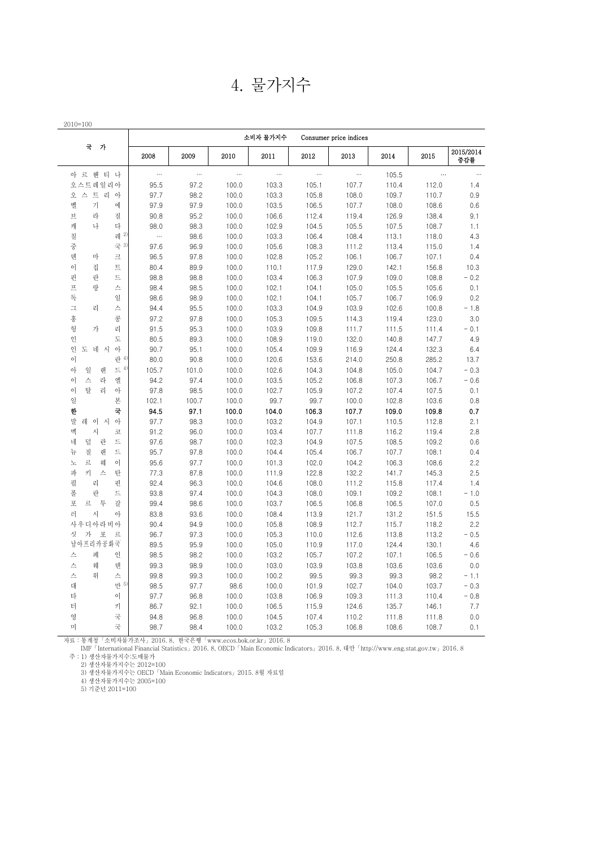| 2010=100                           |              |          |          | 소비자 물가지수 |           | Consumer price indices |       |          |                  |
|------------------------------------|--------------|----------|----------|----------|-----------|------------------------|-------|----------|------------------|
| 국<br>가                             | 2008         | 2009     | 2010     | 2011     | 2012      | 2013                   | 2014  | 2015     | 2015/2014<br>중감률 |
| 아 르 헨 티 나                          | $\cdots$     | $\cdots$ | $\cdots$ | $\cdots$ | $\ddotsc$ | $\ldots$               | 105.5 | $\ldots$ | $\ldots$         |
| 오스트레일리아                            | 95.5         | 97.2     | 100.0    | 103.3    | 105.1     | 107.7                  | 110.4 | 112.0    | 1.4              |
| 오 스 트 리 아                          | 97.7         | 98.2     | 100.0    | 103.3    | 105.8     | 108.0                  | 109.7 | 110.7    | 0.9              |
| 벨<br>가<br>에                        | 97.9         | 97.9     | 100.0    | 103.5    | 106.5     | 107.7                  | 108.0 | 108.6    | 0.6              |
| 旦<br>라<br>질                        | 90.8         | 95.2     | 100.0    | 106.6    | 112.4     | 119.4                  | 126.9 | 138.4    | 9.1              |
| 캐<br>나<br>다                        | 98.0         | 98.3     | 100.0    | 102.9    | 104.5     | 105.5                  | 107.5 | 108.7    | 1.1              |
| 레 2)<br>칠                          | $\cdots$     | 98.6     | 100.0    | 103.3    | 106.4     | 108.4                  | 113.1 | 118.0    | 4.3              |
| 국 3)<br>중                          | 97.6         | 96.9     | 100.0    | 105.6    | 108.3     | 111.2                  | 113.4 | 115.0    | 1.4              |
| 덴<br>마<br>크                        | 96.5         | 97.8     | 100.0    | 102.8    | 105.2     | 106.1                  | 106.7 | 107.1    | 0.4              |
| 이<br>트<br>집                        | 80.4         | 89.9     | 100.0    | 110.1    | 117.9     | 129.0                  | 142.1 | 156.8    | 10.3             |
| 핀<br>란<br>드                        | 98.8         | 98.8     | 100.0    | 103.4    | 106.3     | 107.9                  | 109.0 | 108.8    | $-0.2$           |
| $\overline{\mathcal{M}}$<br>랑<br>스 | 98.4         | 98.5     | 100.0    | 102.1    | 104.1     | 105.0                  | 105.5 | 105.6    | 0.1              |
| 독<br>일                             | 98.6         | 98.9     | 100.0    | 102.1    | 104.1     | 105.7                  | 106.7 | 106.9    | 0.2              |
| $\mathbb I$<br>리<br>스              | 94.4         | 95.5     | 100.0    | 103.3    | 104.9     | 103.9                  | 102.6 | 100.8    | $-1.8$           |
| 홍<br>콩                             | 97.2         | 97.8     | 100.0    | 105.3    | 109.5     | 114.3                  | 119.4 | 123.0    | 3.0              |
| 헝<br>가<br>리                        | 91.5         | 95.3     | 100.0    | 103.9    | 109.8     | 111.7                  | 111.5 | 111.4    | $-0.1$           |
| 인<br>도                             | 80.5         | 89.3     | 100.0    | 108.9    | 119.0     | 132.0                  | 140.8 | 147.7    | 4.9              |
| 인<br>도 네 시<br>아                    | 90.7         | 95.1     | 100.0    | 105.4    | 109.9     | 116.9                  | 124.4 | 132.3    | 6.4              |
| 란 4<br>이                           | 80.0         | 90.8     | 100.0    | 120.6    | 153.6     | 214.0                  | 250.8 | 285.2    | 13.7             |
| 아<br>일<br>랜<br>$\equiv$ 4          | 105.7        | 101.0    | 100.0    | 102.6    | 104.3     | 104.8                  | 105.0 | 104.7    | $-0.3$           |
| 이<br>스<br>라<br>엘                   | 94.2         | 97.4     | 100.0    | 103.5    | 105.2     | 106.8                  | 107.3 | 106.7    | $-0.6$           |
| 이<br>탈<br>리<br>아                   | 97.8         | 98.5     | 100.0    | 102.7    | 105.9     | 107.2                  | 107.4 | 107.5    | 0.1              |
| 일<br>본                             | 102.1        | 100.7    | 100.0    | 99.7     | 99.7      | 100.0                  | 102.8 | 103.6    | 0.8              |
| 국<br>한                             | 94.5         | 97.1     | 100.0    | 104.0    | 106.3     | 107.7                  | 109.0 | 109.8    | 0.7              |
| 말<br>레 이 시<br>아                    | 97.7         | 98.3     | 100.0    | 103.2    | 104.9     | 107.1                  | 110.5 | 112.8    | 2.1              |
| 멕<br>사<br>코                        | 91.2         | 96.0     | 100.0    | 103.4    | 107.7     | 111.8                  | 116.2 | 119.4    | 2.8              |
| 네<br>덜<br>란<br>$\equiv$            | 97.6         | 98.7     | 100.0    | 102.3    | 104.9     | 107.5                  | 108.5 | 109.2    | 0.6              |
| 뉴<br>질<br>랜<br>트                   | 95.7         | 97.8     | 100.0    | 104.4    | 105.4     | 106.7                  | 107.7 | 108.1    | 0.4              |
| 르<br>$\circ$<br>웨<br>노             | 95.6         | 97.7     | 100.0    | 101.3    | 102.0     | 104.2                  | 106.3 | 108.6    | 2.2              |
| 키<br>파<br>스<br>탄                   | 77.3         | 87.8     | 100.0    | 111.9    | 122.8     | 132.2                  | 141.7 | 145.3    | 2.5              |
| 필<br>리<br>핀                        | 92.4         | 96.3     | 100.0    | 104.6    | 108.0     | 111.2                  | 115.8 | 117.4    | 1.4              |
| 폴<br>란<br>드                        | 93.8         | 97.4     | 100.0    | 104.3    | 108.0     | 109.1                  | 109.2 | 108.1    | $-1.0$           |
| 포<br>르<br>투<br>갈                   | 99.4         | 98.6     | 100.0    | 103.7    | 106.5     | 106.8                  | 106.5 | 107.0    | 0.5              |
| 러<br>시<br>아                        | 83.8         | 93.6     | 100.0    | 108.4    | 113.9     | 121.7                  | 131.2 | 151.5    | 15.5             |
| 사우디아라비아                            | 90.4         | 94.9     | 100.0    | 105.8    | 108.9     | 112.7                  | 115.7 | 118.2    | 2.2              |
| 싯<br>가<br>포<br>르                   | 96.7         | 97.3     | 100.0    | 105.3    | 110.0     | 112.6                  | 113.8 | 113.2    | $-0.5$           |
| 남아프리카공화국                           | 89.5         | 95.9     | 100.0    | 105.0    | 110.9     | 117.0                  | 124.4 | 130.1    | 4.6              |
| 페<br>스<br>인                        | 98.5         | 98.2     | 100.0    | 103.2    | 105.7     | 107.2                  | 107.1 | 106.5    | $-0.6$           |
| 스<br>웨<br>덴                        | 99.3         | 98.9     | 100.0    | 103.0    | 103.9     | 103.8                  | 103.6 | 103.6    | 0.0              |
| 스<br>위                             | 99.8         | 99.3     | 100.0    | 100.2    | 99.5      | 99.3                   | 99.3  | 98.2     | $-1.1$           |
| 스<br>만 5<br>대                      | 98.5         | 97.7     | 98.6     | 100.0    | 101.9     | 102.7                  | 104.0 | 103.7    | $-0.3$           |
| 타<br>이                             |              |          |          |          |           |                        |       |          |                  |
| 터<br>키                             | 97.7<br>86.7 | 96.8     | 100.0    | 103.8    | 106.9     | 109.3                  | 111.3 | 110.4    | $-0.8$           |
|                                    |              | 92.1     | 100.0    | 106.5    | 115.9     | 124.6                  | 135.7 | 146.1    | 7.7              |
| 국<br>영<br>미                        | 94.8         | 96.8     | 100.0    | 104.5    | 107.4     | 110.2                  | 111.8 | 111.8    | 0.0              |
| 국                                  | 98.7         | 98.4     | 100.0    | 103.2    | 105.3     | 106.8                  | 108.6 | 108.7    | 0.1              |

자료 : 통계청「소비자물가조사」2016. 8, 한국은행「www.ecos.bok.or.kr」2016. 8

 IMF「International Financial Statistics」2016. 8, OECD「Main Economic Indicators」2016. 8, 대만「http://www.eng.stat.gov.tw」2016. 8 주:1) 생산자물가지수:도매물가

2) 생산자물가지수는 2012=100

3) 생산자물가지수는 OECD「Main Economic Indicators」2015. 8월 자료임

4) 생산자물가지수는 2005=100

5) 기준년 2011=100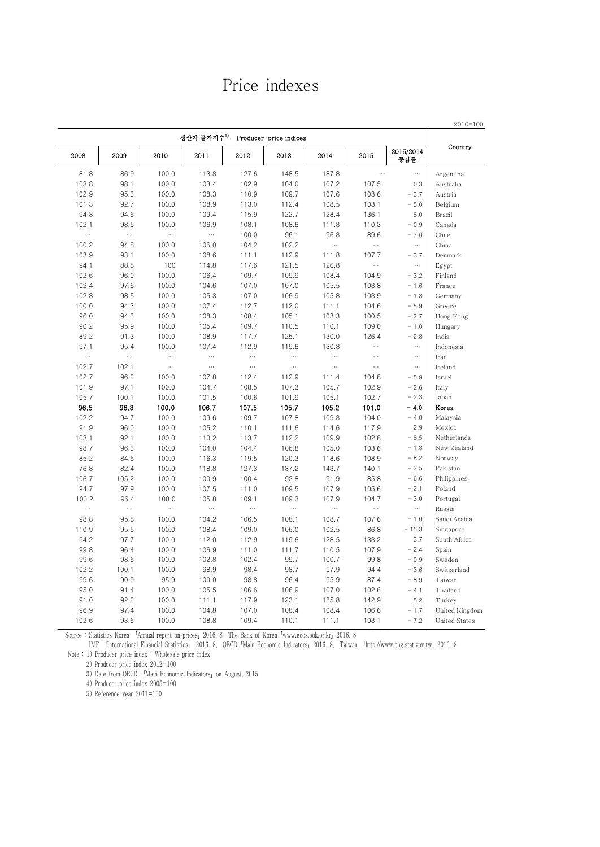### Price indexes

|                |                  |          |          | Producer price indices |          | 생산자 물가지수 <sup>1)</sup> |          |          |           |
|----------------|------------------|----------|----------|------------------------|----------|------------------------|----------|----------|-----------|
| Country        | 2015/2014<br>중감률 | 2015     | 2014     | 2013                   | 2012     | 2011                   | 2010     | 2009     | 2008      |
| Argentina      | $\cdots$         | $\cdots$ | 187.8    | 148.5                  | 127.6    | 113.8                  | 100.0    | 86.9     | 81.8      |
| Australia      | 0.3              | 107.5    | 107.2    | 104.0                  | 102.9    | 103.4                  | 100.0    | 98.1     | 103.8     |
| Austria        | $-3.7$           | 103.6    | 107.6    | 109.7                  | 110.9    | 108.3                  | 100.0    | 95.3     | 102.9     |
| Belgium        | $-5.0$           | 103.1    | 108.5    | 112.4                  | 113.0    | 108.9                  | 100.0    | 92.7     | 101.3     |
| Brazil         | 6.0              | 136.1    | 128.4    | 122.7                  | 115.9    | 109.4                  | 100.0    | 94.6     | 94.8      |
| Canada         | $-0.9$           | 110.3    | 111.3    | 108.6                  | 108.1    | 106.9                  | 100.0    | 98.5     | 102.1     |
| Chile          | $-7.0$           | 89.6     | 96.3     | 96.1                   | 100.0    |                        | $\ldots$ | $\ldots$ | $\ddotsc$ |
| China          | $\cdots$         |          |          | 102.2                  | 104.2    | 106.0                  | 100.0    | 94.8     | 100.2     |
| Denmark        | $-3.7$           | 107.7    | 111.8    | 112.9                  | 111.1    | 108.6                  | 100.0    | 93.1     | 103.9     |
| Egypt          | $\cdots$         |          | 126.8    | 121.5                  | 117.6    | 114.8                  | 100      | 88.8     | 94.1      |
| Finland        | $-3.2$           | 104.9    | 108.4    | 109.9                  | 109.7    | 106.4                  | 100.0    | 96.0     | 102.6     |
| France         | $-1.6$           | 103.8    | 105.5    | 107.0                  | 107.0    | 104.6                  | 100.0    | 97.6     | 102.4     |
| Germany        | $-1.8$           | 103.9    | 105.8    | 106.9                  | 107.0    | 105.3                  | 100.0    | 98.5     | 102.8     |
| Greece         | $-5.9$           | 104.6    | 111.1    | 112.0                  | 112.7    | 107.4                  | 100.0    | 94.3     | 100.0     |
| Hong Kong      | $-2.7$           | 100.5    | 103.3    | 105.1                  | 108.4    | 108.3                  | 100.0    | 94.3     | 96.0      |
| Hungary        | $-1.0$           | 109.0    | 110.1    | 110.5                  | 109.7    | 105.4                  | 100.0    | 95.9     | 90.2      |
| India          | $-2.8$           | 126.4    | 130.0    | 125.1                  | 117.7    | 108.9                  | 100.0    | 91.3     | 89.2      |
| Indonesia      | $\ldots$         |          | 130.8    | 119.6                  | 112.9    | 107.4                  | 100.0    | 95.4     | 97.1      |
| Iran           | $\cdots$         | $\cdots$ | $\cdots$ | $\cdots$               | $\ldots$ |                        | $\ldots$ | $\ldots$ | $\ldots$  |
| Ireland        | $\ldots$         | $\cdots$ | $\cdots$ | $\cdots$               | $\ldots$ | $\cdots$               | $\cdots$ | 102.1    | 102.7     |
| Israel         | $-5.9$           | 104.8    | 111.4    | 112.9                  | 112.4    | 107.8                  | 100.0    | 96.2     | 102.7     |
| Italy          | $-2.6$           | 102.9    | 105.7    | 107.3                  | 108.5    | 104.7                  | 100.0    | 97.1     | 101.9     |
| Japan          | $-2.3$           | 102.7    | 105.1    | 101.9                  | 100.6    | 101.5                  | 100.0    | 100.1    | 105.7     |
| Korea          | $-4.0$           | 101.0    | 105.2    | 105.7                  | 107.5    | 106.7                  | 100.0    | 96.3     | 96.5      |
| Malaysia       | $-4.8$           | 104.0    | 109.3    | 107.8                  | 109.7    | 109.6                  | 100.0    | 94.7     | 102.2     |
| Mexico         | 2.9              | 117.9    | 114.6    | 111.6                  | 110.1    | 105.2                  | 100.0    | 96.0     | 91.9      |
| Netherlands    | $-6.5$           | 102.8    | 109.9    | 112.2                  | 113.7    | 110.2                  | 100.0    | 92.1     | 103.1     |
| New Zealand    | $-1.3$           | 103.6    | 105.0    | 106.8                  | 104.4    | 104.0                  | 100.0    | 96.3     | 98.7      |
| Norway         | $-8.2$           | 108.9    | 118.6    | 120.3                  | 119.5    | 116.3                  | 100.0    | 84.5     | 85.2      |
| Pakistan       | $-2.5$           | 140.1    | 143.7    | 137.2                  | 127.3    | 118.8                  | 100.0    | 82.4     | 76.8      |
| Philippines    | $-6.6$           | 85.8     | 91.9     | 92.8                   | 100.4    | 100.9                  | 100.0    | 105.2    | 106.7     |
| Poland         | $-2.1$           | 105.6    | 107.9    | 109.5                  | 111.0    | 107.5                  | 100.0    | 97.9     | 94.7      |
| Portugal       | $-3.0$           | 104.7    | 107.9    | 109.3                  | 109.1    | 105.8                  | 100.0    | 96.4     | 100.2     |
| Russia         | $\ldots$         |          |          | $\cdots$               | $\ldots$ |                        | $\ldots$ | $\ldots$ | $\ddotsc$ |
| Saudi Arabia   | $-1.0$           | 107.6    | 108.7    | 108.1                  | 106.5    | 104.2                  | 100.0    | 95.8     | 98.8      |
| Singapore      | $-15.3$          | 86.8     | 102.5    | 106.0                  | 109.0    | 108.4                  | 100.0    | 95.5     | 110.9     |
| South Africa   | 3.7              | 133.2    | 128.5    | 119.6                  | 112.9    | 112.0                  | 100.0    | 97.7     | 94.2      |
| Spain          | $-2.4$           | 107.9    | 110.5    | 111.7                  | 111.0    | 106.9                  | 100.0    | 96.4     | 99.8      |
| Sweden         | $-0.9$           | 99.8     | 100.7    | 99.7                   | 102.4    | 102.8                  | 100.0    | 98.6     | 99.6      |
| Switzerland    | $-3.6$           | 94.4     | 97.9     | 98.7                   | 98.4     | 98.9                   | 100.0    | 100.1    | 102.2     |
| Taiwan         | $-8.9$           | 87.4     | 95.9     | 96.4                   | 98.8     | 100.0                  | 95.9     | 90.9     | 99.6      |
| Thailand       | $-4.1$           | 102.6    | 107.0    | 106.9                  | 106.6    | 105.5                  | 100.0    | 91.4     | 95.0      |
| Turkey         | 5.2              | 142.9    | 135.8    | 123.1                  | 117.9    | 111.1                  | 100.0    | 92.2     | 91.0      |
| United Kingdom | $-1.7$           | 106.6    | 108.4    | 108.4                  | 107.0    | 104.8                  | 100.0    | 97.4     | 96.9      |
| United States  | $-7.2$           | 103.1    | 111.1    | 110.1                  | 109.4    | 108.8                  | 100.0    | 93.6     | 102.6     |

Source : Statistics Korea 「Annual report on prices」2016. 8 The Bank of Korea「www.ecos.bok.or.kr」2016. 8 Source : Statistics Korea 「Annual report on prices」2016. 8 The Bank of Korea「www.ecos.bok.or.kr」2016. 8

 IMF 「International Financial Statistics」 2016. 8, OECD「Main Economic Indicators」2016. 8, Taiwan 「http://www.eng.stat.gov.tw」2016. 8 Note : 1) Producer price index : Wholesale price index

2) Producer price index 2012=100

3) Date from OECD 「Main Economic Indicators」on August, 2015

4) Producer price index 2005=100

5) Reference year 2011=100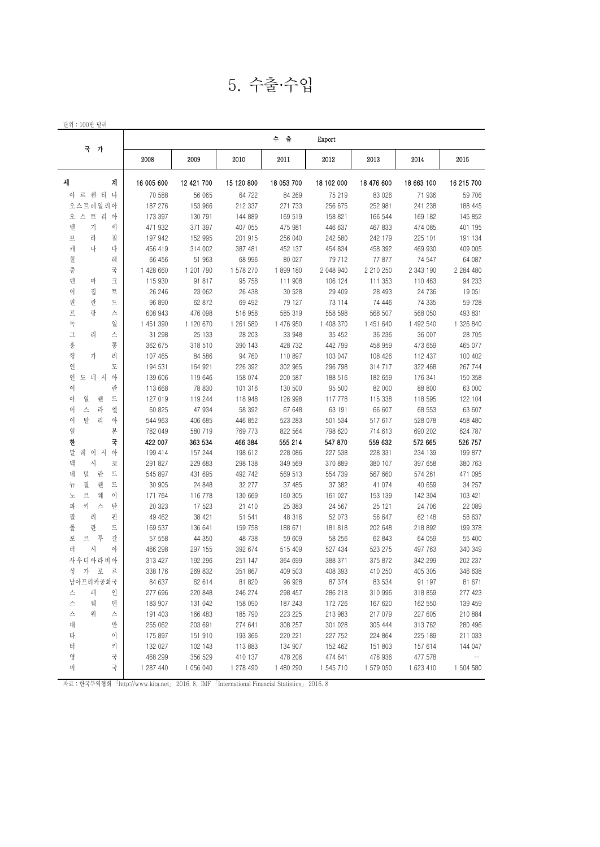5. 수출·수입

|                          |            |            |            | 수 출        | Export     |            |            |            |
|--------------------------|------------|------------|------------|------------|------------|------------|------------|------------|
| 국 가                      | 2008       | 2009       | 2010       | 2011       | 2012       | 2013       | 2014       | 2015       |
| 세<br>계                   | 16 005 600 | 12 421 700 | 15 120 800 | 18 053 700 | 18 102 000 | 18 476 600 | 18 663 100 | 16 215 700 |
| 아 르 헨 티 나                | 70 588     | 56 065     | 64 722     | 84 269     | 75 219     | 83 0 26    | 71 936     | 59 706     |
| 오스트레일리아                  | 187 276    | 153 966    | 212 337    | 271 733    | 256 675    | 252 981    | 241 238    | 188 445    |
| 오 스 트 리 아                | 173 397    | 130 791    | 144 889    | 169 519    | 158 821    | 166 544    | 169 182    | 145 852    |
| 벨<br>가<br>에              | 471 932    | 371 397    | 407 055    | 475 981    | 446 637    | 467 833    | 474 085    | 401 195    |
| 라<br>브<br>질              | 197 942    | 152 995    | 201 915    | 256 040    | 242 580    | 242 179    | 225 101    | 191 134    |
| 캐<br>나<br>다              | 456 419    | 314 002    | 387 481    | 452 137    | 454 834    | 458 392    | 469 930    | 409 005    |
| 칠<br>레                   | 66 456     | 51 963     | 68 996     | 80 027     | 79 712     | 77 877     | 74 547     | 64 087     |
| 국<br>중                   | 1 428 660  | 1 201 790  | 1 578 270  | 1899180    | 2 048 940  | 2 210 250  | 2 343 190  | 2 284 480  |
| 텐<br>마<br>크              | 115 930    | 91 817     | 95 758     | 111 908    | 106 124    | 111 353    | 110 463    | 94 233     |
| 이<br>집<br>$\overline{E}$ | 26 246     | 23 062     | 26 438     | 30 528     | 29 409     | 28 493     | 24 736     | 19 051     |
| 핀<br>란<br>드              | 96 890     | 62 872     | 69 492     | 79 127     | 73 114     | 74 446     | 74 335     | 59 728     |
| 랑<br>프<br>스              | 608 943    | 476 098    | 516 958    | 585 319    | 558 598    | 568 507    | 568 050    | 493 831    |
| 독<br>일                   | 1 451 390  | 1 120 670  | 1 261 580  | 1 476 950  | 1 408 370  | 1 451 640  | 1 492 540  | 1 326 840  |
| $\mathbf \bot$<br>리<br>스 | 31 298     | 25 133     | 28 203     | 33 948     | 35 452     | 36 236     | 36 007     | 28 705     |
| 홍<br>콩                   | 362 675    | 318 510    | 390 143    | 428 732    | 442 799    | 458 959    | 473 659    | 465 077    |
| 헝<br>리<br>가              | 107 465    | 84 586     | 94 760     | 110 897    | 103 047    | 108 426    | 112 437    | 100 402    |
| 인<br>도                   | 194 531    | 164 921    | 226 392    | 302 965    | 296 798    | 314 717    | 322 468    | 267 744    |
| 인<br>도 네 시<br>아          | 139 606    | 119 646    | 158 074    | 200 587    | 188 516    | 182 659    | 176 341    | 150 358    |
| 이<br>란                   | 113 668    | 78 830     | 101 316    | 130 500    | 95 500     | 82 000     | 88 800     | 63 000     |
| 일<br>아<br>랜<br>드         | 127 019    | 119 244    | 118 948    | 126 998    | 117 778    | 115 338    | 118 595    | 122 104    |
| 이<br>스<br>라<br>엘         | 60 825     | 47 934     | 58 392     | 67 648     | 63 191     | 66 607     | 68 553     | 63 607     |
| 탈<br>$\circ$<br>리<br>아   | 544 963    | 406 685    | 446 852    | 523 283    | 501 534    | 517 617    | 528 078    | 458 480    |
| 일<br>본                   | 782 049    | 580 719    | 769 773    | 822 564    | 798 620    | 714 613    | 690 202    | 624 787    |
| 한<br>국                   | 422 007    | 363 534    | 466 384    | 555 214    | 547 870    | 559 632    | 572 665    | 526 757    |
| 말<br>레 이 시<br>아          | 199 414    | 157 244    | 198 612    | 228 086    | 227 538    | 228 331    | 234 139    | 199 877    |
| 멕<br>사<br>코              | 291 827    | 229 683    | 298 138    | 349 569    | 370 889    | 380 107    | 397 658    | 380 763    |
| 덜<br>네<br>란<br>드         | 545 897    | 431 695    | 492 742    | 569 513    | 554 739    | 567 660    | 574 261    | 471 095    |
| 질<br>드<br>뉴<br>랜         | 30 905     | 24 848     | 32 277     | 37 485     | 37 382     | 41 074     | 40 659     | 34 257     |
| 르<br>노<br>웨<br>이         | 171 764    | 116 778    | 130 669    | 160 305    | 161 027    | 153 139    | 142 304    | 103 421    |
| 키<br>파<br>스<br>탄         | 20 323     | 17 523     | 21 410     | 25 383     | 24 567     | 25 121     | 24 706     | 22 089     |
| 필<br>리<br>핀              | 49 462     | 38 421     | 51 541     | 48 316     | 52 073     | 56 647     | 62 148     | 58 637     |
| 폴<br>란<br>드              | 169 537    | 136 641    | 159 758    | 188 671    | 181 818    | 202 648    | 218 892    | 199 378    |
| 포<br>투<br>갈<br>르         | 57 558     | 44 350     | 48 738     | 59 609     | 58 256     | 62 843     | 64 059     | 55 400     |
| 러<br>시<br>아              | 466 298    | 297 155    | 392 674    | 515 409    | 527 434    | 523 275    | 497 763    | 340 349    |
| 사우디아라비아                  | 313 427    | 192 296    | 251 147    | 364 699    | 388 371    | 375 872    | 342 299    | 202 237    |
| 싱<br>가<br>王<br>르         | 338 176    | 269 832    | 351 867    | 409 503    | 408 393    | 410 250    | 405 305    | 346 638    |
| 남아프리카공화국                 | 84 637     | 62 614     | 81 820     | 96 928     | 87 374     | 83 534     | 91 197     | 81 671     |
| 스<br>페<br>인              | 277 696    | 220 848    | 246 274    | 298 457    | 286 218    | 310 996    | 318 859    | 277 423    |
| 스<br>웨<br>텐              | 183 907    | 131 042    | 158 090    | 187 243    | 172 726    | 167 620    | 162 550    | 139 459    |
| 스<br>위<br>스              | 191 403    | 166 483    | 185 790    | 223 225    | 213 983    | 217 079    | 227 605    | 210 884    |
| 대<br>만                   | 255 062    | 203 691    | 274 641    | 308 257    | 301 028    | 305 444    | 313 762    | 280 496    |
| 타<br>이                   | 175 897    | 151 910    | 193 366    | 220 221    | 227 752    | 224 864    | 225 189    | 211 033    |
| 터<br>키                   | 132 027    | 102 143    | 113883     | 134 907    | 152 462    | 151 803    | 157 614    | 144 047    |
| 국                        |            |            |            | 478 206    |            |            |            | $\cdots$   |
| 영<br>국                   | 468 299    | 356 529    | 410 137    |            | 474 641    | 476 936    | 477 578    |            |
| 미                        | 1 287 440  | 1 056 040  | 1 278 490  | 1 480 290  | 1 545 710  | 1 579 050  | 1 623 410  | 1 504 580  |

자료 : 한국무역협회 「http://www.kita.net」 2016. 8, IMF 「International Financial Statistics」 2016. 8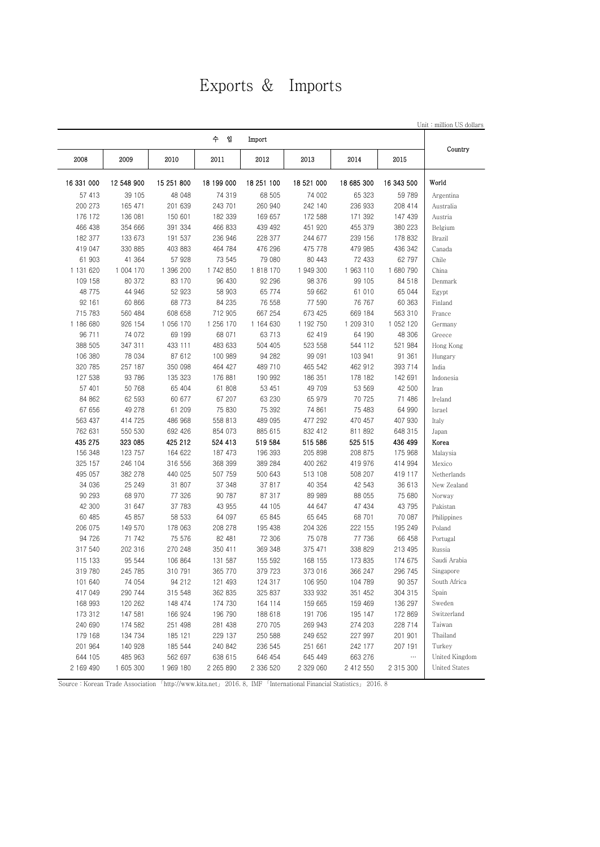## Exports & Imports

| Unit: million US dollars |                     |            |            |            |            |            |            |            |
|--------------------------|---------------------|------------|------------|------------|------------|------------|------------|------------|
| Country                  |                     |            |            | Import     | 수 입        |            |            |            |
|                          | 2015                | 2014       | 2013       | 2012       | 2011       | 2010       | 2009       | 2008       |
| World                    | 16 343 500          | 18 685 300 | 18 521 000 | 18 251 100 | 18 199 000 | 15 251 800 | 12 548 900 | 16 331 000 |
| Argentina                | 59 789              | 65 323     | 74 002     | 68 505     | 74 319     | 48 048     | 39 105     | 57 413     |
| Australia                | 208 414             | 236 933    | 242 140    | 260 940    | 243 701    | 201 639    | 165 471    | 200 273    |
| Austria                  | 147 439             | 171 392    | 172 588    | 169 657    | 182 339    | 150 601    | 136 081    | 176 172    |
| Belgium                  | 380 223             | 455 379    | 451 920    | 439 492    | 466 833    | 391 334    | 354 666    | 466 438    |
| Brazil                   | 178 832             | 239 156    | 244 677    | 228 377    | 236 946    | 191 537    | 133 673    | 182 377    |
| Canada                   | 436 342             | 479 985    | 475 778    | 476 296    | 464 784    | 403 883    | 330 885    | 419 047    |
| Chile                    | 62 797              | 72 433     | 80 443     | 79 080     | 73 545     | 57 928     | 41 364     | 61 903     |
| China                    | 1 680 790           | 1963110    | 1 949 300  | 1818170    | 1 742 850  | 1 396 200  | 1 004 170  | 1 131 620  |
| Denmark                  | 84 518              | 99 105     | 98 376     | 92 296     | 96 430     | 83 170     | 80 372     | 109 158    |
| Egypt                    | 65 044              | 61 010     | 59 662     | 65 774     | 58 903     | 52 923     | 44 946     | 48 775     |
| Finland                  | 60 363              | 76 767     | 77 590     | 76 558     | 84 235     | 68 773     | 60 866     | 92 161     |
| France                   | 563 310             | 669 184    | 673 425    | 667 254    | 712 905    | 608 658    | 560 484    | 715 783    |
| Germany                  | 1 052 120           | 1 209 310  | 1 192 750  | 1 164 630  | 1 256 170  | 1 056 170  | 926 154    | 1 186 680  |
| Greece                   | 48 306              | 64 190     | 62 419     | 63 713     | 68 071     | 69 199     | 74 072     | 96 711     |
| Hong Kong                | 521 984             | 544 112    | 523 558    | 504 405    | 483 633    | 433 111    | 347 311    | 388 505    |
| Hungary                  | 91 361              | 103 941    | 99 091     | 94 282     | 100 989    | 87 612     | 78 034     | 106 380    |
| India                    | 393 714             | 462 912    | 465 542    | 489 710    | 464 427    | 350 098    | 257 187    | 320 785    |
| Indonesia                | 142 691             | 178 182    | 186 351    | 190 992    | 176 881    | 135 323    | 93 786     | 127 538    |
| Iran                     | 42 500              | 53 569     | 49 709     | 53 451     | 61 808     | 65 404     | 50 768     | 57 401     |
| Ireland                  | 71 486              | 70 725     | 65 979     | 63 230     | 67 207     | 60 677     | 62 593     | 84 862     |
| Israel                   | 64 990              | 75 483     | 74 861     | 75 392     | 75 830     | 61 209     | 49 278     | 67 656     |
| Italy                    | 407 930             | 470 457    | 477 292    | 489 095    | 558 813    | 486 968    | 414 725    | 563 437    |
| Japan                    | 648 315             | 811 892    | 832 412    | 885 615    | 854 073    | 692 426    | 550 530    | 762 631    |
| Korea                    | 436 499             | 525 515    | 515 586    | 519 584    | 524 413    | 425 212    | 323 085    | 435 275    |
| Malaysia                 | 175 968             | 208 875    | 205 898    | 196 393    | 187 473    | 164 622    | 123 757    | 156 348    |
| Mexico                   | 414 994             | 419 976    | 400 262    | 389 284    | 368 399    | 316 556    | 246 104    | 325 157    |
| Netherlands              | 419 117             | 508 207    | 513 108    | 500 643    | 507 759    | 440 025    | 382 278    | 495 057    |
| New Zealand              | 36 613              | 42 543     | 40 354     | 37 817     | 37 348     | 31 807     | 25 249     | 34 036     |
| Norway                   | 75 680              | 88 055     | 89 989     | 87 317     | 90 787     | 77 326     | 68 970     | 90 293     |
| Pakistan                 | 43 795              | 47 434     | 44 647     | 44 105     | 43 955     | 37 783     | 31 647     | 42 300     |
| Philippines              | 70 087              | 68 701     | 65 645     | 65 845     | 64 097     | 58 533     | 45 857     | 60 485     |
| Poland                   | 195 249             | 222 155    | 204 326    | 195 438    | 208 278    | 178 063    | 149 570    | 206 075    |
| Portugal                 | 66 458              | 77 736     | 75 078     | 72 306     | 82 481     | 75 576     | 71 742     | 94 726     |
| Russia                   | 213 495             | 338 829    | 375 471    | 369 348    | 350 411    | 270 248    | 202 316    | 317 540    |
| Saudi Arabia             | 174 675             | 173 835    | 168 155    | 155 592    | 131 587    | 106 864    | 95 544     | 115 133    |
| Singapore                | 296 745             | 366 247    | 373 016    | 379 723    | 365 770    | 310 791    | 245 785    | 319 780    |
| South Africa             | 90 357              | 104 789    | 106 950    | 124 317    | 121 493    | 94 212     | 74 054     | 101 640    |
| Spain                    | 304 315             | 351 452    | 333 932    | 325 837    | 362 835    | 315 548    | 290 744    | 417 049    |
| Sweden                   | 136 297             | 159 469    | 159 665    | 164 114    | 174 730    | 148 474    | 120 262    | 168 993    |
| Switzerland              | 172 869             | 195 147    | 191 706    | 188 618    | 196 790    | 166 924    | 147 581    | 173 312    |
| Taiwan                   | 228 714             |            | 269 943    | 270 705    | 281 438    |            | 174 582    | 240 690    |
|                          | 201 901             | 274 203    |            |            |            | 251 498    |            |            |
| Thailand                 |                     | 227 997    | 249 652    | 250 588    | 229 137    | 185 121    | 134 734    | 179 168    |
| Turkey                   | 207 191<br>$\ldots$ | 242 177    | 251 661    | 236 545    | 240 842    | 185 544    | 140 928    | 201 964    |
| United Kingdom           |                     | 663 276    | 645 449    | 646 454    | 638 615    | 562 697    | 485 963    | 644 105    |
| <b>United States</b>     | 2 315 300           | 2 412 550  | 2 329 060  | 2 336 520  | 2 265 890  | 1 969 180  | 1 605 300  | 2 169 490  |

Source : Korean Trade Association 「http://www.kita.net」 2016. 8, IMF 「International Financial Statistics」 2016. 8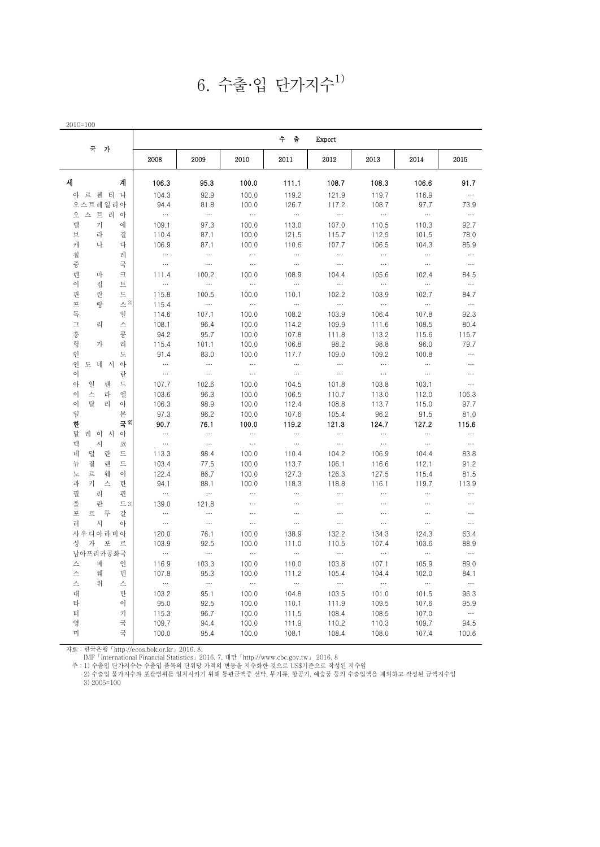$6.$  수출·입 단가지수 $1)$ 

|                                |                  |                  |                   | 수 출               | Export            |                   |                   |                  |
|--------------------------------|------------------|------------------|-------------------|-------------------|-------------------|-------------------|-------------------|------------------|
| 국 가                            | 2008             | 2009             | 2010              | 2011              | 2012              | 2013              | 2014              | 2015             |
| 세<br>계                         | 106.3            | 95.3             | 100.0             | 111.1             | 108.7             | 108.3             | 106.6             | 91.7             |
| 아 르 헤 티 나                      | 104.3            | 92.9             | 100.0             | 119.2             | 121.9             | 119.7             | 116.9             | $\ldots$         |
| 오스트레일리아                        | 94.4             | 81.8             | 100.0             | 126.7             | 117.2             | 108.7             | 97.7              | 73.9             |
| 오 스 트 리 아                      | $\dots$          | $\ldots$         | $\ldots$          | $\sim$            | $\ldots$          | $\ldots$          | $\cdots$          | $\ldots$         |
| 벨<br>키<br>에                    | 109.1            | 97.3             | 100.0             | 113.0             | 107.0             | 110.5             | 110.3             | 92.7             |
| 브<br>라<br>질                    | 110.4            | 87.1             | 100.0             | 121.5             | 115.7             | 112.5             | 101.5             | 78.0             |
| 나<br>다<br>캐                    | 106.9            | 87.1             | 100.0             | 110.6             | 107.7             | 106.5             | 104.3             | 85.9             |
| 칠<br>레                         | $\ldots$         | $\ldots$         | $\ldots$          | $\ldots$          | $\ldots$          | $\dots$           | $\cdots$          | $\dots$          |
| 중<br>국                         | $\dots$          | $\ldots$         | $\dots$           | $\ldots$          | $\dots$           | $\ldots$          | $\ldots$          | $\ldots$         |
| 텐<br>마<br>크                    | 111.4            | 100.2            | 100.0             | 108.9             | 104.4             | 105.6             | 102.4             | 84.5             |
| 이<br>집<br>트                    | $\ldots$         | $\ldots$         | $\ldots$          | $\ldots$          | $\ldots$          | $\ldots$          | $\ldots$          | $\ldots$         |
| 핀<br>란<br>드                    | 115.8            | 100.5            | 100.0             | 110.1             | 102.2             | 103.9             | 102.7             | 84.7             |
| 프<br>$\leq$ <sup>3)</sup><br>랑 | 115.4            | $\ldots$         | $\ldots$          | $\cdots$          | $\dots$           | $\ldots$          | $\ldots$          | $\cdots$         |
| 독<br>일                         | 114.6            | 107.1            | 100.0             | 108.2             | 103.9             | 106.4             | 107.8             | 92.3             |
| $\mathbf I$<br>리<br>스          |                  |                  |                   |                   |                   |                   |                   |                  |
| 홍<br>콩                         | 108.1            | 96.4             | 100.0             | 114.2             | 109.9             | 111.6             | 108.5             | 80.4             |
| 헝<br>가                         | 94.2             | 95.7             | 100.0             | 107.8             | 111.8             | 113.2             | 115.6             | 115.7            |
| 리                              | 115.4            | 101.1            | 100.0             | 106.8             | 98.2              | 98.8              | 96.0              | 79.7<br>$\ldots$ |
| 인<br>도                         | 91.4<br>$\ldots$ | 83.0<br>$\ldots$ | 100.0<br>$\ldots$ | 117.7<br>$\cdots$ | 109.0<br>$\ldots$ | 109.2<br>$\ldots$ | 100.8<br>$\ldots$ | $\ldots$         |
| 인<br>$\circ$<br>도 네 시          |                  |                  |                   |                   |                   | $\ldots$          |                   |                  |
| 이<br>란                         | $\ldots$         | $\ldots$         | $\cdots$          | $\cdots$          | $\dots$           |                   | $\ldots$          | $\ldots$         |
| 아<br>일<br>랜<br>드               | 107.7            | 102.6            | 100.0             | 104.5             | 101.8             | 103.8             | 103.1             | $\ldots$         |
| 이<br>스<br>라<br>엘               | 103.6            | 96.3             | 100.0             | 106.5             | 110.7             | 113.0             | 112.0             | 106.3            |
| 탈<br>리<br>이<br>아               | 106.3            | 98.9             | 100.0             | 112.4             | 108.8             | 113.7             | 115.0             | 97.7             |
| 일<br>본                         | 97.3             | 96.2             | 100.0             | 107.6             | 105.4             | 96.2              | 91.5              | 81.0             |
| 국 2)<br>한                      | 90.7             | 76.1             | 100.0             | 119.2             | 121.3             | 124.7             | 127.2             | 115.6            |
| 말<br>레 이 시 아                   | $\cdots$         | $\cdots$         | $\cdots$          | $\ldots$          | $\cdots$          | $\cdots$          | $\cdots$          | $\cdots$         |
| 멕<br>사<br>코                    | $\dots$          | $\ldots$         | $\cdots$          | $\cdots$          | $\ldots$          | $\ldots$          | $\ldots$          | $\cdots$         |
| 덜<br>란<br>드<br>네               | 113.3            | 98.4             | 100.0             | 110.4             | 104.2             | 106.9             | 104.4             | 83.8             |
| 질<br>드<br>뉴<br>랜               | 103.4            | 77.5             | 100.0             | 113.7             | 106.1             | 116.6             | 112.1             | 91.2             |
| 르<br>웨<br>이<br>노               | 122.4            | 86.7             | 100.0             | 127.3             | 126.3             | 127.5             | 115.4             | 81.5             |
| 키<br>파<br>스<br>탄               | 94.1             | 88.1             | 100.0             | 118.3             | 118.8             | 116.1             | 119.7             | 113.9            |
| 필<br>리<br>핀                    | $\dots$          | $\ldots$         | $\ldots$          | $\ldots$          | $\ldots$          | $\ldots$          | $\cdots$          | $\ldots$         |
| 폴<br>란<br>$\Xi$ 3              | 139.0            | 121.8            | $\ldots$          | $\ldots$          | $\ldots$          | $\ldots$          | $\ldots$          | $\cdots$         |
| 포<br>르<br>투<br>갈               | $\cdots$         | $\ldots$         | $\ldots$          | $\ldots$          | $\ldots$          | $\ldots$          | $\cdots$          | $\ldots$         |
| 러<br>아<br>사                    | $\dots$          | $\cdots$         | $\ldots$          | $\cdots$          | $\ldots$          | $\ldots$          | $\ldots$          | $\cdots$         |
| 사우디아라비아                        | 120.0            | 76.1             | 100.0             | 138.9             | 132.2             | 134.3             | 124.3             | 63.4             |
| 싱<br>가 포<br>르                  | 103.9            | 92.5             | 100.0             | 111.0             | 110.5             | 107.4             | 103.6             | 88.9             |
| 남아프리카공화국                       | $\cdots$         | $\ldots$         | $\cdots$          | $\sim$            | $\sim$ 100 $\mu$  | $\sim$ $\sim$     | $\sim$ 100 $\,$   | $\cdots$         |
| 인<br>스<br>페                    | 116.9            | 103.3            | 100.0             | 110.0             | 103.8             | 107.1             | 105.9             | 89.0             |
| 스<br>웨<br>덴                    | 107.8            | 95.3             | 100.0             | 111.2             | 105.4             | 104.4             | 102.0             | 84.1             |
| 스<br>위<br>스                    | $\ldots$         | $\ldots$         | $\ldots$          | $\ldots$          | $\ldots$          | $\cdots$          | $\ldots$          | $\ldots$         |
| 대<br>만                         | 103.2            | 95.1             | 100.0             | 104.8             | 103.5             | 101.0             | 101.5             | 96.3             |
| 타<br>$\circ$                   | 95.0             | 92.5             | 100.0             | 110.1             | 111.9             | 109.5             | 107.6             | 95.9             |
| 터<br>키                         | 115.3            | 96.7             | 100.0             | 111.5             | 108.4             | 108.5             | 107.0             | $\cdots$         |
| 영<br>국                         | 109.7            | 94.4             | 100.0             | 111.9             | 110.2             | 110.3             | 109.7             | 94.5             |
| 미<br>국                         | 100.0            | 95.4             | 100.0             | 108.1             | 108.4             | 108.0             | 107.4             | 100.6            |

자료 : 한국은행「http://ecos.bok.or.kr」2016. 8,

IMF「International Financial Statistics」2016. 7, 대만「http://www.cbc.gov.tw」 2016. 8

주 : 1) 수출입 단가지수는 수출입 품목의 단위당 가격의 변동을 지수화한 것으로 US\$기준으로 작성된 지수임

 2) 수출입 물가지수와 포괄범위를 일치시키기 위해 통관금액중 선박, 무기류, 항공기, 예술품 등의 수출입액을 제외하고 작성된 금액지수임 3) 2005=100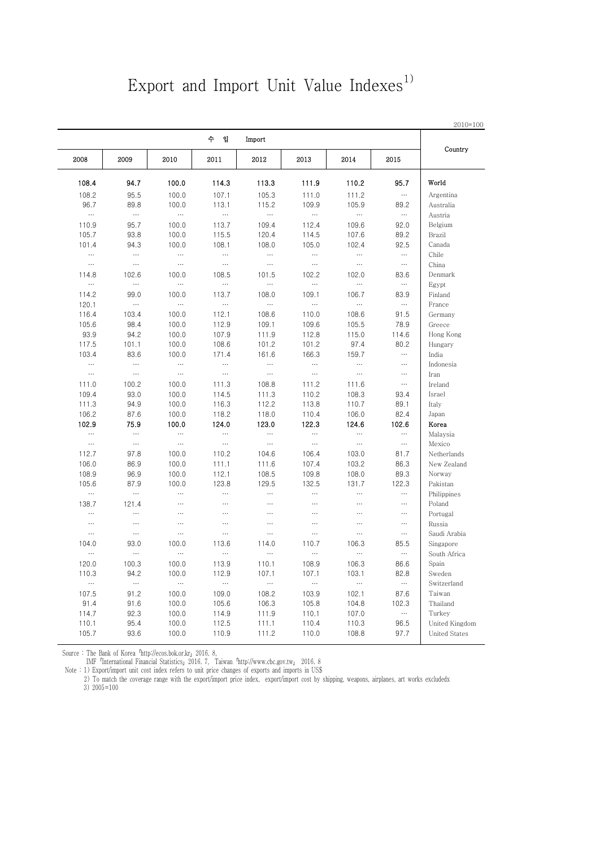### Export and Import Unit Value Indexes<sup>1)</sup>

|                      |          |                   |                   | Import            | 수 입               |           |           |                   |
|----------------------|----------|-------------------|-------------------|-------------------|-------------------|-----------|-----------|-------------------|
| Country              | 2015     | 2014              | 2013              | 2012              | 2011              | 2010      | 2009      | 2008              |
| World                | 95.7     | 110.2             | 111.9             | 113.3             | 114.3             | 100.0     | 94.7      | 108.4             |
| Argentina            | $\cdots$ | 111.2             | 111.0             | 105.3             | 107.1             | 100.0     | 95.5      | 108.2             |
| Australia            | 89.2     | 105.9             | 109.9             | 115.2             | 113.1             | 100.0     | 89.8      | 96.7              |
| Austria              | $\ldots$ | $\ldots$          | $\ldots$          | $\ldots$          | $\ldots$          | $\ldots$  | $\ldots$  | $\ldots$          |
| Belgium              | 92.0     | 109.6             | 112.4             | 109.4             | 113.7             | 100.0     | 95.7      | 110.9             |
| Brazil               | 89.2     | 107.6             | 114.5             | 120.4             | 115.5             | 100.0     | 93.8      | 105.7             |
| Canada               | 92.5     | 102.4             | 105.0             | 108.0             | 108.1             | 100.0     | 94.3      | 101.4             |
| Chile                | $\cdots$ | $\cdots$          | $\cdots$          | $\ldots$          |                   | $\cdots$  | $\cdots$  | $\cdots$          |
| China                | $\ldots$ | $\cdots$          | $\ldots$          | $\ddotsc$         | $\cdots$          | $\cdots$  | $\ddotsc$ | $\ldots$          |
| Denmark              | 83.6     | 102.0             | 102.2             | 101.5             | 108.5             | 100.0     | 102.6     | 114.8             |
| Egypt                | $\cdots$ |                   | $\cdots$          | $\ldots$          |                   | $\cdots$  | $\cdots$  | $\ldots$          |
| Finland              | 83.9     | 106.7             | 109.1             | 108.0             | 113.7             | 100.0     | 99.0      | 114.2             |
| France               | $\ldots$ | $\ldots$          |                   | $\ldots$          | $\cdots$          | $\ldots$  | $\ldots$  | 120.1             |
| Germany              | 91.5     | 108.6             | 110.0             | 108.6             | 112.1             | 100.0     | 103.4     | 116.4             |
| Greece               | 78.9     | 105.5             | 109.6             | 109.1             | 112.9             | 100.0     | 98.4      | 105.6             |
| Hong Kong            | 114.6    | 115.0             | 112.8             |                   | 107.9             | 100.0     | 94.2      | 93.9              |
|                      | 80.2     | 97.4              | 101.2             | 111.9<br>101.2    | 108.6             | 100.0     | 101.1     | 117.5             |
| Hungary<br>India     | $\cdots$ |                   |                   |                   |                   |           |           |                   |
|                      | $\cdots$ | 159.7<br>$\cdots$ | 166.3<br>$\cdots$ | 161.6<br>$\cdots$ | 171.4<br>$\cdots$ | 100.0     | 83.6      | 103.4<br>$\cdots$ |
| Indonesia            |          |                   |                   |                   |                   | $\cdots$  | $\cdots$  |                   |
| Iran                 | $\cdots$ | $\ldots$          | $\ddotsc$         | $\cdots$          | $\cdots$          | $\cdots$  | $\cdots$  | $\cdots$          |
| Ireland              | $\ldots$ | 111.6             | 111.2             | 108.8             | 111.3             | 100.0     | 100.2     | 111.0             |
| Israel               | 93.4     | 108.3             | 110.2             | 111.3             | 114.5             | 100.0     | 93.0      | 109.4             |
| Italy                | 89.1     | 110.7             | 113.8             | 112.2             | 116.3             | 100.0     | 94.9      | 111.3             |
| Japan                | 82.4     | 106.0             | 110.4             | 118.0             | 118.2             | 100.0     | 87.6      | 106.2             |
| Korea                | 102.6    | 124.6             | 122.3             | 123.0             | 124.0             | 100.0     | 75.9      | 102.9             |
| Malaysia             | $\ldots$ | $\ldots$          | $\cdots$          | $\ldots$          |                   | $\cdots$  | $\cdots$  | $\ldots$          |
| Mexico               | $\cdots$ | $\ldots$          | $\cdots$          | $\cdots$          | $\cdots$          | $\ddotsc$ | $\cdots$  | $\cdots$          |
| Netherlands          | 81.7     | 103.0             | 106.4             | 104.6             | 110.2             | 100.0     | 97.8      | 112.7             |
| New Zealand          | 86.3     | 103.2             | 107.4             | 111.6             | 111.1             | 100.0     | 86.9      | 106.0             |
| Norway               | 89.3     | 108.0             | 109.8             | 108.5             | 112.1             | 100.0     | 96.9      | 108.9             |
| Pakistan             | 122.3    | 131.7             | 132.5             | 129.5             | 123.8             | 100.0     | 87.9      | 105.6             |
| Philippines          | $\cdots$ | $\ldots$          | $\cdots$          | $\ldots$          | $\cdots$          | $\cdots$  | $\cdots$  | $\ldots$          |
| Poland               | $\ldots$ | $\cdots$          |                   | $\ldots$          |                   |           | 121.4     | 138.7             |
| Portugal             | $\cdots$ |                   | $\cdots$          | $\cdots$          | $\cdots$          | $\cdots$  | $\cdots$  | $\ldots$          |
| Russia               | $\ldots$ | $\cdots$          |                   | $\cdots$          | $\cdots$          |           | $\cdots$  | $\ldots$          |
| Saudi Arabia         | $\ldots$ | $\cdots$          | $\ldots$          | $\ldots$          |                   | $\cdots$  | $\ldots$  | $\ldots$          |
| Singapore            | 85.5     | 106.3             | 110.7             | 114.0             | 113.6             | 100.0     | 93.0      | 104.0             |
| South Africa         | $\cdots$ | $\ldots$          |                   | $\cdots$          | $\ldots$          | $\ddotsc$ | $\cdots$  | $\cdots$          |
| Spain                | 86.6     | 106.3             | 108.9             | 110.1             | 113.9             | 100.0     | 100.3     | 120.0             |
| Sweden               | 82.8     | 103.1             | 107.1             | 107.1             | 112.9             | 100.0     | 94.2      | 110.3             |
| Switzerland          | $\ldots$ | $\ldots$          | $\ldots$          | $\ldots$          | $\cdots$          | $\cdots$  | $\cdots$  | $\ldots$          |
| Taiwan               | 87.6     | 102.1             | 103.9             | 108.2             | 109.0             | 100.0     | 91.2      | 107.5             |
| Thailand             | 102.3    | 104.8             | 105.8             | 106.3             | 105.6             | 100.0     | 91.6      | 91.4              |
| Turkey               | $\ldots$ | 107.0             | 110.1             | 111.9             | 114.9             | 100.0     | 92.3      | 114.7             |
| United Kingdom       | 96.5     | 110.3             | 110.4             | 111.1             | 112.5             | 100.0     | 95.4      | 110.1             |
| <b>United States</b> | 97.7     | 108.8             | 110.0             | 111.2             | 110.9             | 100.0     | 93.6      | 105.7             |

Source : The Bank of Korea 'http://ecos.bok.or.kr」2016. 8,<br>IMF「International Financial Statistics」2016. 7, Taiwan「http://www.cbc.gov.tw」 2016. 8

Note : 1) Export/import unit cost index refers to unit price changes of exports and imports in US\$

 2) To match the coverage range with the export/import price index, export/import cost by shipping, weapons, airplanes, art works excludedx 3) 2005=100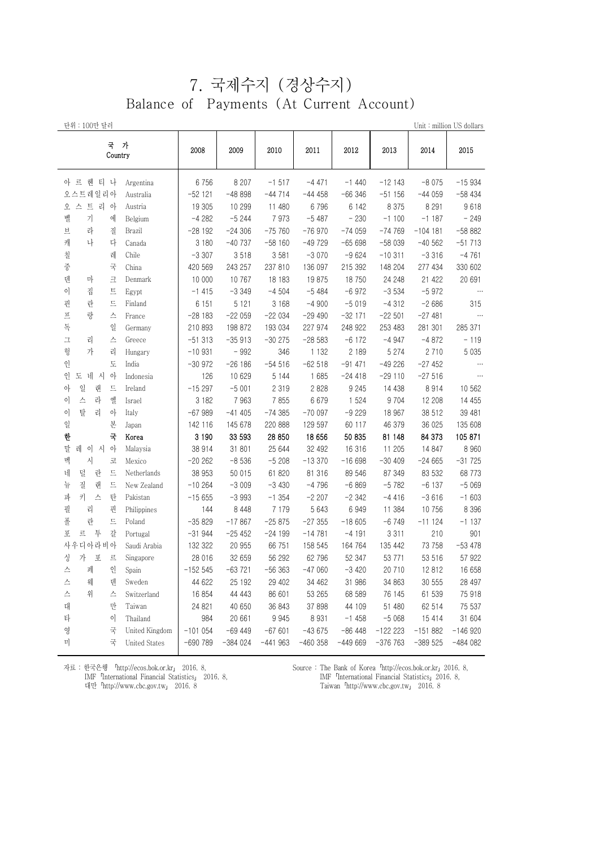### 7. 국제수지 (경상수지) Balance of Payments (At Current Account)

| 단위 : 100만 달러                              |           |           |           |           |           |           |            | Unit: million US dollars |
|-------------------------------------------|-----------|-----------|-----------|-----------|-----------|-----------|------------|--------------------------|
| 국 가<br>Country                            | 2008      | 2009      | 2010      | 2011      | 2012      | 2013      | 2014       | 2015                     |
| 아 르 헨 티 나<br>Argentina                    | 6756      | 8 2 0 7   | $-1517$   | $-4471$   | $-1440$   | $-12143$  | $-8075$    | $-15934$                 |
| 오스트레일리아<br>Australia                      | $-52$ 121 | $-48898$  | $-44714$  | $-44458$  | $-66346$  | $-51156$  | $-44059$   | $-58434$                 |
| 스 트 리 아<br>오<br>Austria                   | 19 305    | 10 299    | 11 480    | 6 7 9 6   | 6 1 4 2   | 8 3 7 5   | 8 2 9 1    | 9618                     |
| 벨<br>기<br>에<br>Belgium                    | -4 282    | $-5244$   | 7973      | $-5487$   | $-230$    | $-1100$   | $-1187$    | $-249$                   |
| 브<br>라<br>질<br>Brazil                     | $-28192$  | $-24306$  | $-75760$  | $-76970$  | $-74059$  | $-74769$  | $-104$ 181 | $-58882$                 |
| 캐<br>나<br>다<br>Canada                     | 3 1 8 0   | $-40737$  | $-58160$  | $-49729$  | $-65698$  | $-58039$  | $-40562$   | $-51713$                 |
| 칠<br>레<br>Chile                           | $-3307$   | 3518      | 3 5 8 1   | $-3070$   | $-9624$   | $-10311$  | $-3316$    | $-4761$                  |
| 중<br>국<br>China                           | 420 569   | 243 257   | 237 810   | 136 097   | 215 392   | 148 204   | 277 434    | 330 602                  |
| 덴<br>마<br>크<br>Denmark                    | 10 000    | 10 767    | 18 183    | 19875     | 18750     | 24 248    | 21 422     | 20 691                   |
| 이<br>트<br>집<br>Egypt                      | $-1415$   | $-3349$   | $-4504$   | $-5484$   | $-6972$   | $-3534$   | $-5972$    | $\cdots$                 |
| 핀<br>란<br>드<br>Finland                    | 6 1 5 1   | 5 1 2 1   | 3 1 6 8   | $-4900$   | $-5019$   | $-4312$   | $-2686$    | 315                      |
| $\overline{\pi}$<br>띿<br>France<br>스      | $-28183$  | $-22059$  | $-22034$  | -29 490   | $-3211$   | $-22501$  | $-27481$   | $\ldots$                 |
| 독<br>일<br>Germany                         | 210 893   | 198 872   | 193 034   | 227 974   | 248 922   | 253 483   | 281 301    | 285 371                  |
| $\mathfrak{\text{I}}$<br>리<br>스<br>Greece | $-51313$  | $-35913$  | $-30275$  | $-28583$  | $-6172$   | $-4947$   | $-4872$    | $-119$                   |
| 헝<br>가<br>리<br>Hungary                    | $-10931$  | - 992     | 346       | 1 1 3 2   | 2 189     | 5 2 7 4   | 2 7 1 0    | 5 0 3 5                  |
| 인<br>도<br>India                           | $-30972$  | $-26186$  | $-54516$  | $-62518$  | $-91471$  | $-49226$  | $-27452$   | $\cdots$                 |
| 도 네 시<br>인<br>아<br>Indonesia              | 126       | 10 629    | 5 1 4 4   | 1 685     | $-24418$  | $-29110$  | $-27516$   | $\cdots$                 |
| 일<br>아<br>랜<br>트<br>Ireland               | $-15297$  | $-5001$   | 2 3 1 9   | 2 8 2 8   | 9 2 4 5   | 14 4 38   | 8914       | 10 562                   |
| 스<br>엘<br>이<br>라<br>Israel                | 3 1 8 2   | 7963      | 7855      | 6 6 7 9   | 1 5 2 4   | 9 7 0 4   | 12 208     | 14 4 5 5                 |
| 이<br>탈<br>리<br>아<br>Italy                 | $-67989$  | $-41405$  | $-74385$  | $-700097$ | $-9229$   | 18 967    | 38 512     | 39 481                   |
| 일<br>본<br>Japan                           | 142 116   | 145 678   | 220 888   | 129 597   | 60 117    | 46 379    | 36 025     | 135 608                  |
| 한<br>국<br>Korea                           | 3 1 9 0   | 33 593    | 28 850    | 18 656    | 50 835    | 81 148    | 84 373     | 105 871                  |
| 말<br>레<br>이 시<br>$\circ$<br>Malaysia      | 38 914    | 31 801    | 25 644    | 32 492    | 16 316    | 11 205    | 14 847     | 8 9 6 0                  |
| 멕<br>시<br>코<br>Mexico                     | $-20262$  | $-8536$   | $-5208$   | $-13370$  | $-16698$  | $-30409$  | $-24665$   | $-31725$                 |
| 네<br>덜<br>란<br>드<br>Netherlands           | 38 953    | 50 015    | 61 820    | 81 316    | 89 546    | 87 349    | 83 532     | 68 773                   |
| 질<br>뉴<br>랜<br>드<br>New Zealand           | $-10264$  | $-3009$   | $-3430$   | $-4796$   | $-6869$   | $-5782$   | $-6137$    | $-5069$                  |
| 키<br>파<br>스<br>탄<br>Pakistan              | $-15655$  | $-3993$   | $-1354$   | $-2207$   | $-2342$   | -4416     | $-3616$    | $-1603$                  |
| 필<br>리<br>핀<br>Philippines                | 144       | 8 4 4 8   | 7 1 7 9   | 5 6 4 3   | 6949      | 11 384    | 10 756     | 8 3 9 6                  |
| 폴<br>란<br>드<br>Poland                     | $-35829$  | $-17867$  | $-25875$  | $-27355$  | $-18605$  | $-6749$   | $-11124$   | $-1137$                  |
| 포<br>투<br>르<br>갈<br>Portugal              | $-31944$  | $-25452$  | -24 199   | $-14781$  | -4 191    | 3 3 1 1   | 210        | 901                      |
| 사우디아라비아<br>Saudi Arabia                   | 132 322   | 20 955    | 66 751    | 158 545   | 164 764   | 135 442   | 73 758     | $-53478$                 |
| 가 포<br>싱<br>르<br>Singapore                | 28 016    | 32 659    | 56 292    | 62 796    | 52 347    | 53 771    | 53 516     | 57 922                   |
| 인<br>페<br>Spain<br>스                      | $-152545$ | $-63721$  | $-56363$  | $-47060$  | $-3420$   | 20 710    | 12812      | 16 658                   |
| 스<br>웨<br>Sweden<br>덴                     | 44 622    | 25 192    | 29 402    | 34 462    | 31 986    | 34 863    | 30 555     | 28 497                   |
| 스<br>위<br>스<br>Switzerland                | 16 854    | 44 4 43   | 86 601    | 53 265    | 68 589    | 76 145    | 61 539     | 75 918                   |
| 대<br>만<br>Taiwan                          | 24 821    | 40 650    | 36 843    | 37 898    | 44 109    | 51 480    | 62 514     | 75 537                   |
| 타<br>이<br>Thailand                        | 984       | 20 661    | 9 9 4 5   | 8 9 3 1   | $-1458$   | $-5068$   | 15 4 14    | 31 604                   |
| 영<br>국<br>United Kingdom                  | $-101054$ | $-69449$  | $-67601$  | $-43675$  | $-86448$  | $-122223$ | $-151882$  | $-146920$                |
| 미<br>국<br><b>United States</b>            | $-690789$ | $-384024$ | $-441963$ | $-460358$ | $-449669$ | $-376763$ | $-389525$  | $-484082$                |

자료 : 한국은행 「http://ecos.bok.or.kr」 2016. 8, IMF「International Financial Statistics」 2016. 8, 대만「http://www.cbc.gov.tw」 2016. 8

Source : The Bank of Korea「http://ecos.bok.or.kr」2016. 8, IMF「International Financial Statistics」2016. 8, Taiwan「http://www.cbc.gov.tw」 2016. 8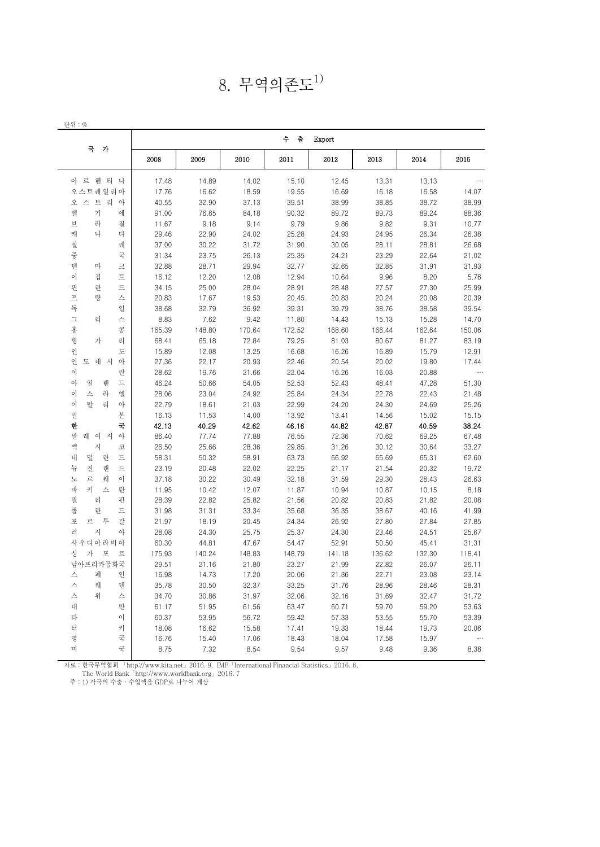| 8. 무역의존도 <sup>1)</sup> |  |
|------------------------|--|
|------------------------|--|

| 2008<br>2009<br>2010<br>2011<br>2012<br>2013<br>2014<br>2015<br>17.48<br>14.89<br>14.02<br>12.45<br>13.13<br>15.10<br>13.31<br>17.76<br>16.62<br>18.59<br>19.55<br>16.69<br>16.58<br>16.18<br>14.07<br>37.13<br>38.99<br>38.72<br>40.55<br>32.90<br>39.51<br>38.85<br>38.99<br>89.72<br>89.24<br>에<br>91.00<br>76.65<br>84.18<br>90.32<br>89.73<br>88.36<br>9.18<br>9.79<br>9.86<br>9.82<br>9.31<br>10.77<br>질<br>11.67<br>9.14<br>다<br>22.90<br>25.28<br>24.93<br>26.34<br>26.38<br>29.46<br>24.02<br>24.95<br>레<br>31.90<br>37.00<br>30.22<br>31.72<br>30.05<br>28.11<br>28.81<br>26.68<br>국<br>23.75<br>23.29<br>22.64<br>31.34<br>26.13<br>25.35<br>24.21<br>21.02<br>28.71<br>32.77<br>32.65<br>크<br>32.88<br>29.94<br>32.85<br>31.91<br>31.93<br>트<br>12.20<br>12.08<br>12.94<br>10.64<br>9.96<br>8.20<br>5.76<br>16.12<br>드<br>25.00<br>28.04<br>28.91<br>28.48<br>27.57<br>27.30<br>25.99<br>34.15<br>스<br>20.83<br>17.67<br>20.45<br>20.83<br>20.08<br>20.39<br>19.53<br>20.24<br>일<br>38.68<br>32.79<br>36.92<br>39.31<br>39.79<br>38.58<br>39.54<br>38.76<br>스<br>8.83<br>7.62<br>14.70<br>9.42<br>11.80<br>14.43<br>15.13<br>15.28<br>콩<br>148.80<br>165.39<br>170.64<br>172.52<br>168.60<br>166.44<br>162.64<br>150.06<br>리<br>68.41<br>65.18<br>72.84<br>79.25<br>81.03<br>80.67<br>81.27<br>83.19<br>도<br>15.89<br>12.08<br>13.25<br>16.68<br>16.26<br>15.79<br>12.91<br>16.89<br>아<br>27.36<br>22.17<br>20.93<br>22.46<br>20.54<br>20.02<br>19.80<br>17.44<br>28.62<br>19.76<br>21.66<br>22.04<br>16.26<br>16.03<br>20.88<br>란<br>드<br>46.24<br>50.66<br>52.53<br>47.28<br>랜<br>54.05<br>52.43<br>48.41<br>51.30<br>라<br>엘<br>28.06<br>23.04<br>25.84<br>22.78<br>22.43<br>24.92<br>24.34<br>21.48<br>리<br>아<br>22.79<br>22.99<br>24.69<br>25.26<br>18.61<br>21.03<br>24.20<br>24.30<br>본<br>14.00<br>13.92<br>15.02<br>15.15<br>16.13<br>11.53<br>13.41<br>14.56<br>국<br>42.13<br>40.29<br>42.62<br>46.16<br>44.82<br>40.59<br>38.24<br>42.87 |  |  |  | 국 가                   |
|----------------------------------------------------------------------------------------------------------------------------------------------------------------------------------------------------------------------------------------------------------------------------------------------------------------------------------------------------------------------------------------------------------------------------------------------------------------------------------------------------------------------------------------------------------------------------------------------------------------------------------------------------------------------------------------------------------------------------------------------------------------------------------------------------------------------------------------------------------------------------------------------------------------------------------------------------------------------------------------------------------------------------------------------------------------------------------------------------------------------------------------------------------------------------------------------------------------------------------------------------------------------------------------------------------------------------------------------------------------------------------------------------------------------------------------------------------------------------------------------------------------------------------------------------------------------------------------------------------------------------------------------------------------------------------------------------------------------------------------------------------------------------------------------------------------------------------------------------------------------------------------------------------------------------------------------------------------|--|--|--|-----------------------|
|                                                                                                                                                                                                                                                                                                                                                                                                                                                                                                                                                                                                                                                                                                                                                                                                                                                                                                                                                                                                                                                                                                                                                                                                                                                                                                                                                                                                                                                                                                                                                                                                                                                                                                                                                                                                                                                                                                                                                                |  |  |  |                       |
|                                                                                                                                                                                                                                                                                                                                                                                                                                                                                                                                                                                                                                                                                                                                                                                                                                                                                                                                                                                                                                                                                                                                                                                                                                                                                                                                                                                                                                                                                                                                                                                                                                                                                                                                                                                                                                                                                                                                                                |  |  |  | 아 르 헨 티 나             |
|                                                                                                                                                                                                                                                                                                                                                                                                                                                                                                                                                                                                                                                                                                                                                                                                                                                                                                                                                                                                                                                                                                                                                                                                                                                                                                                                                                                                                                                                                                                                                                                                                                                                                                                                                                                                                                                                                                                                                                |  |  |  | 오스트레일리아               |
|                                                                                                                                                                                                                                                                                                                                                                                                                                                                                                                                                                                                                                                                                                                                                                                                                                                                                                                                                                                                                                                                                                                                                                                                                                                                                                                                                                                                                                                                                                                                                                                                                                                                                                                                                                                                                                                                                                                                                                |  |  |  | 오 스 트 리 아             |
|                                                                                                                                                                                                                                                                                                                                                                                                                                                                                                                                                                                                                                                                                                                                                                                                                                                                                                                                                                                                                                                                                                                                                                                                                                                                                                                                                                                                                                                                                                                                                                                                                                                                                                                                                                                                                                                                                                                                                                |  |  |  | 벨<br>가                |
|                                                                                                                                                                                                                                                                                                                                                                                                                                                                                                                                                                                                                                                                                                                                                                                                                                                                                                                                                                                                                                                                                                                                                                                                                                                                                                                                                                                                                                                                                                                                                                                                                                                                                                                                                                                                                                                                                                                                                                |  |  |  | 라<br>브                |
|                                                                                                                                                                                                                                                                                                                                                                                                                                                                                                                                                                                                                                                                                                                                                                                                                                                                                                                                                                                                                                                                                                                                                                                                                                                                                                                                                                                                                                                                                                                                                                                                                                                                                                                                                                                                                                                                                                                                                                |  |  |  | 나<br>캐                |
|                                                                                                                                                                                                                                                                                                                                                                                                                                                                                                                                                                                                                                                                                                                                                                                                                                                                                                                                                                                                                                                                                                                                                                                                                                                                                                                                                                                                                                                                                                                                                                                                                                                                                                                                                                                                                                                                                                                                                                |  |  |  | 칠                     |
|                                                                                                                                                                                                                                                                                                                                                                                                                                                                                                                                                                                                                                                                                                                                                                                                                                                                                                                                                                                                                                                                                                                                                                                                                                                                                                                                                                                                                                                                                                                                                                                                                                                                                                                                                                                                                                                                                                                                                                |  |  |  | 중                     |
|                                                                                                                                                                                                                                                                                                                                                                                                                                                                                                                                                                                                                                                                                                                                                                                                                                                                                                                                                                                                                                                                                                                                                                                                                                                                                                                                                                                                                                                                                                                                                                                                                                                                                                                                                                                                                                                                                                                                                                |  |  |  | 텐<br>마                |
|                                                                                                                                                                                                                                                                                                                                                                                                                                                                                                                                                                                                                                                                                                                                                                                                                                                                                                                                                                                                                                                                                                                                                                                                                                                                                                                                                                                                                                                                                                                                                                                                                                                                                                                                                                                                                                                                                                                                                                |  |  |  | 이<br>집                |
|                                                                                                                                                                                                                                                                                                                                                                                                                                                                                                                                                                                                                                                                                                                                                                                                                                                                                                                                                                                                                                                                                                                                                                                                                                                                                                                                                                                                                                                                                                                                                                                                                                                                                                                                                                                                                                                                                                                                                                |  |  |  | 핀<br>란                |
|                                                                                                                                                                                                                                                                                                                                                                                                                                                                                                                                                                                                                                                                                                                                                                                                                                                                                                                                                                                                                                                                                                                                                                                                                                                                                                                                                                                                                                                                                                                                                                                                                                                                                                                                                                                                                                                                                                                                                                |  |  |  | $\overline{\pi}$<br>랑 |
|                                                                                                                                                                                                                                                                                                                                                                                                                                                                                                                                                                                                                                                                                                                                                                                                                                                                                                                                                                                                                                                                                                                                                                                                                                                                                                                                                                                                                                                                                                                                                                                                                                                                                                                                                                                                                                                                                                                                                                |  |  |  | 독                     |
|                                                                                                                                                                                                                                                                                                                                                                                                                                                                                                                                                                                                                                                                                                                                                                                                                                                                                                                                                                                                                                                                                                                                                                                                                                                                                                                                                                                                                                                                                                                                                                                                                                                                                                                                                                                                                                                                                                                                                                |  |  |  | ユ<br>리                |
|                                                                                                                                                                                                                                                                                                                                                                                                                                                                                                                                                                                                                                                                                                                                                                                                                                                                                                                                                                                                                                                                                                                                                                                                                                                                                                                                                                                                                                                                                                                                                                                                                                                                                                                                                                                                                                                                                                                                                                |  |  |  | 홍                     |
|                                                                                                                                                                                                                                                                                                                                                                                                                                                                                                                                                                                                                                                                                                                                                                                                                                                                                                                                                                                                                                                                                                                                                                                                                                                                                                                                                                                                                                                                                                                                                                                                                                                                                                                                                                                                                                                                                                                                                                |  |  |  | 가                     |
|                                                                                                                                                                                                                                                                                                                                                                                                                                                                                                                                                                                                                                                                                                                                                                                                                                                                                                                                                                                                                                                                                                                                                                                                                                                                                                                                                                                                                                                                                                                                                                                                                                                                                                                                                                                                                                                                                                                                                                |  |  |  | 헝                     |
|                                                                                                                                                                                                                                                                                                                                                                                                                                                                                                                                                                                                                                                                                                                                                                                                                                                                                                                                                                                                                                                                                                                                                                                                                                                                                                                                                                                                                                                                                                                                                                                                                                                                                                                                                                                                                                                                                                                                                                |  |  |  | 인                     |
|                                                                                                                                                                                                                                                                                                                                                                                                                                                                                                                                                                                                                                                                                                                                                                                                                                                                                                                                                                                                                                                                                                                                                                                                                                                                                                                                                                                                                                                                                                                                                                                                                                                                                                                                                                                                                                                                                                                                                                |  |  |  | 인<br>도 네 시            |
|                                                                                                                                                                                                                                                                                                                                                                                                                                                                                                                                                                                                                                                                                                                                                                                                                                                                                                                                                                                                                                                                                                                                                                                                                                                                                                                                                                                                                                                                                                                                                                                                                                                                                                                                                                                                                                                                                                                                                                |  |  |  | 이                     |
|                                                                                                                                                                                                                                                                                                                                                                                                                                                                                                                                                                                                                                                                                                                                                                                                                                                                                                                                                                                                                                                                                                                                                                                                                                                                                                                                                                                                                                                                                                                                                                                                                                                                                                                                                                                                                                                                                                                                                                |  |  |  | 아<br>일                |
|                                                                                                                                                                                                                                                                                                                                                                                                                                                                                                                                                                                                                                                                                                                                                                                                                                                                                                                                                                                                                                                                                                                                                                                                                                                                                                                                                                                                                                                                                                                                                                                                                                                                                                                                                                                                                                                                                                                                                                |  |  |  | 스<br>이                |
|                                                                                                                                                                                                                                                                                                                                                                                                                                                                                                                                                                                                                                                                                                                                                                                                                                                                                                                                                                                                                                                                                                                                                                                                                                                                                                                                                                                                                                                                                                                                                                                                                                                                                                                                                                                                                                                                                                                                                                |  |  |  | 탈<br>이                |
|                                                                                                                                                                                                                                                                                                                                                                                                                                                                                                                                                                                                                                                                                                                                                                                                                                                                                                                                                                                                                                                                                                                                                                                                                                                                                                                                                                                                                                                                                                                                                                                                                                                                                                                                                                                                                                                                                                                                                                |  |  |  | 일                     |
|                                                                                                                                                                                                                                                                                                                                                                                                                                                                                                                                                                                                                                                                                                                                                                                                                                                                                                                                                                                                                                                                                                                                                                                                                                                                                                                                                                                                                                                                                                                                                                                                                                                                                                                                                                                                                                                                                                                                                                |  |  |  | 한                     |
| 77.74<br>77.88<br>76.55<br>72.36<br>69.25<br>67.48<br>아<br>86.40<br>70.62                                                                                                                                                                                                                                                                                                                                                                                                                                                                                                                                                                                                                                                                                                                                                                                                                                                                                                                                                                                                                                                                                                                                                                                                                                                                                                                                                                                                                                                                                                                                                                                                                                                                                                                                                                                                                                                                                      |  |  |  | 말<br>레<br>이 시         |
| 25.66<br>28.36<br>29.85<br>31.26<br>30.64<br>33.27<br>26.50<br>30.12<br>코                                                                                                                                                                                                                                                                                                                                                                                                                                                                                                                                                                                                                                                                                                                                                                                                                                                                                                                                                                                                                                                                                                                                                                                                                                                                                                                                                                                                                                                                                                                                                                                                                                                                                                                                                                                                                                                                                      |  |  |  | 멕<br>시                |
| 드<br>58.31<br>50.32<br>58.91<br>63.73<br>66.92<br>65.69<br>65.31<br>62.60                                                                                                                                                                                                                                                                                                                                                                                                                                                                                                                                                                                                                                                                                                                                                                                                                                                                                                                                                                                                                                                                                                                                                                                                                                                                                                                                                                                                                                                                                                                                                                                                                                                                                                                                                                                                                                                                                      |  |  |  | 덜<br>네<br>란           |
| 드<br>22.25<br>랜<br>23.19<br>20.48<br>22.02<br>21.17<br>21.54<br>20.32<br>19.72                                                                                                                                                                                                                                                                                                                                                                                                                                                                                                                                                                                                                                                                                                                                                                                                                                                                                                                                                                                                                                                                                                                                                                                                                                                                                                                                                                                                                                                                                                                                                                                                                                                                                                                                                                                                                                                                                 |  |  |  | 질<br>뉴                |
| 웨<br>이<br>37.18<br>30.22<br>30.49<br>32.18<br>31.59<br>29.30<br>28.43<br>26.63                                                                                                                                                                                                                                                                                                                                                                                                                                                                                                                                                                                                                                                                                                                                                                                                                                                                                                                                                                                                                                                                                                                                                                                                                                                                                                                                                                                                                                                                                                                                                                                                                                                                                                                                                                                                                                                                                 |  |  |  | 르<br>노                |
| 탄<br>11.95<br>10.42<br>12.07<br>11.87<br>10.94<br>10.87<br>10.15<br>8.18                                                                                                                                                                                                                                                                                                                                                                                                                                                                                                                                                                                                                                                                                                                                                                                                                                                                                                                                                                                                                                                                                                                                                                                                                                                                                                                                                                                                                                                                                                                                                                                                                                                                                                                                                                                                                                                                                       |  |  |  | 키<br>파<br>스           |
| 22.82<br>21.82<br>20.08<br>핀<br>28.39<br>25.82<br>21.56<br>20.82<br>20.83                                                                                                                                                                                                                                                                                                                                                                                                                                                                                                                                                                                                                                                                                                                                                                                                                                                                                                                                                                                                                                                                                                                                                                                                                                                                                                                                                                                                                                                                                                                                                                                                                                                                                                                                                                                                                                                                                      |  |  |  | 필<br>리                |
| 드<br>35.68<br>31.98<br>31.31<br>33.34<br>36.35<br>38.67<br>40.16<br>41.99                                                                                                                                                                                                                                                                                                                                                                                                                                                                                                                                                                                                                                                                                                                                                                                                                                                                                                                                                                                                                                                                                                                                                                                                                                                                                                                                                                                                                                                                                                                                                                                                                                                                                                                                                                                                                                                                                      |  |  |  | 폴<br>란                |
| 갈<br>21.97<br>18.19<br>20.45<br>24.34<br>26.92<br>27.80<br>27.84<br>27.85                                                                                                                                                                                                                                                                                                                                                                                                                                                                                                                                                                                                                                                                                                                                                                                                                                                                                                                                                                                                                                                                                                                                                                                                                                                                                                                                                                                                                                                                                                                                                                                                                                                                                                                                                                                                                                                                                      |  |  |  | 포<br>르<br>투           |
| 아<br>28.08<br>24.30<br>25.75<br>25.37<br>24.30<br>23.46<br>24.51<br>25.67                                                                                                                                                                                                                                                                                                                                                                                                                                                                                                                                                                                                                                                                                                                                                                                                                                                                                                                                                                                                                                                                                                                                                                                                                                                                                                                                                                                                                                                                                                                                                                                                                                                                                                                                                                                                                                                                                      |  |  |  | 러<br>시                |
| 60.30<br>44.81<br>47.67<br>54.47<br>52.91<br>31.31<br>50.50<br>45.41                                                                                                                                                                                                                                                                                                                                                                                                                                                                                                                                                                                                                                                                                                                                                                                                                                                                                                                                                                                                                                                                                                                                                                                                                                                                                                                                                                                                                                                                                                                                                                                                                                                                                                                                                                                                                                                                                           |  |  |  | 사우디아라비아               |
| 175.93<br>148.83<br>136.62<br>140.24<br>148.79<br>141.18<br>132.30<br>118.41<br>르                                                                                                                                                                                                                                                                                                                                                                                                                                                                                                                                                                                                                                                                                                                                                                                                                                                                                                                                                                                                                                                                                                                                                                                                                                                                                                                                                                                                                                                                                                                                                                                                                                                                                                                                                                                                                                                                              |  |  |  | 포<br>싱<br>가           |
| 29.51<br>21.16<br>21.80<br>23.27<br>21.99<br>22.82<br>26.07<br>26.11                                                                                                                                                                                                                                                                                                                                                                                                                                                                                                                                                                                                                                                                                                                                                                                                                                                                                                                                                                                                                                                                                                                                                                                                                                                                                                                                                                                                                                                                                                                                                                                                                                                                                                                                                                                                                                                                                           |  |  |  | 남아프리카공화국              |
| 인<br>14.73<br>16.98<br>17.20<br>20.06<br>21.36<br>22.71<br>23.08<br>23.14                                                                                                                                                                                                                                                                                                                                                                                                                                                                                                                                                                                                                                                                                                                                                                                                                                                                                                                                                                                                                                                                                                                                                                                                                                                                                                                                                                                                                                                                                                                                                                                                                                                                                                                                                                                                                                                                                      |  |  |  | 스<br>페                |
| 30.50<br>32.37<br>33.25<br>31.76<br>28.96<br>28.31<br>덴<br>35.78<br>28.46                                                                                                                                                                                                                                                                                                                                                                                                                                                                                                                                                                                                                                                                                                                                                                                                                                                                                                                                                                                                                                                                                                                                                                                                                                                                                                                                                                                                                                                                                                                                                                                                                                                                                                                                                                                                                                                                                      |  |  |  | 스<br>웨                |
| 34.70<br>31.97<br>32.16<br>31.72<br>스<br>30.86<br>32.06<br>31.69<br>32.47                                                                                                                                                                                                                                                                                                                                                                                                                                                                                                                                                                                                                                                                                                                                                                                                                                                                                                                                                                                                                                                                                                                                                                                                                                                                                                                                                                                                                                                                                                                                                                                                                                                                                                                                                                                                                                                                                      |  |  |  | 스<br>위                |
| 만<br>61.17<br>51.95<br>61.56<br>63.47<br>60.71<br>59.70<br>59.20<br>53.63                                                                                                                                                                                                                                                                                                                                                                                                                                                                                                                                                                                                                                                                                                                                                                                                                                                                                                                                                                                                                                                                                                                                                                                                                                                                                                                                                                                                                                                                                                                                                                                                                                                                                                                                                                                                                                                                                      |  |  |  | 대                     |
| $\circ$<br>60.37<br>53.95<br>56.72<br>59.42<br>57.33<br>53.55<br>55.70<br>53.39                                                                                                                                                                                                                                                                                                                                                                                                                                                                                                                                                                                                                                                                                                                                                                                                                                                                                                                                                                                                                                                                                                                                                                                                                                                                                                                                                                                                                                                                                                                                                                                                                                                                                                                                                                                                                                                                                |  |  |  | 타                     |
| $\geq \mid$<br>18.08<br>16.62<br>15.58<br>17.41<br>19.33<br>18.44<br>19.73<br>20.06                                                                                                                                                                                                                                                                                                                                                                                                                                                                                                                                                                                                                                                                                                                                                                                                                                                                                                                                                                                                                                                                                                                                                                                                                                                                                                                                                                                                                                                                                                                                                                                                                                                                                                                                                                                                                                                                            |  |  |  | 터                     |
| 국<br>16.76<br>15.40<br>17.06<br>18.43<br>18.04<br>17.58<br>15.97                                                                                                                                                                                                                                                                                                                                                                                                                                                                                                                                                                                                                                                                                                                                                                                                                                                                                                                                                                                                                                                                                                                                                                                                                                                                                                                                                                                                                                                                                                                                                                                                                                                                                                                                                                                                                                                                                               |  |  |  | 영                     |
| 국<br>8.75<br>8.54<br>9.57<br>7.32<br>9.54<br>9.48<br>9.36<br>8.38                                                                                                                                                                                                                                                                                                                                                                                                                                                                                                                                                                                                                                                                                                                                                                                                                                                                                                                                                                                                                                                                                                                                                                                                                                                                                                                                                                                                                                                                                                                                                                                                                                                                                                                                                                                                                                                                                              |  |  |  | 미                     |

자료 : 한국무역협회 「http://www.kita.net」2016. 9, IMF「International Financial Statistics」2016. 8,

The World Bank「http://www.worldbank.org」2016. 7

주 : 1) 각국의 수출 · 수입액을 GDP로 나누어 계상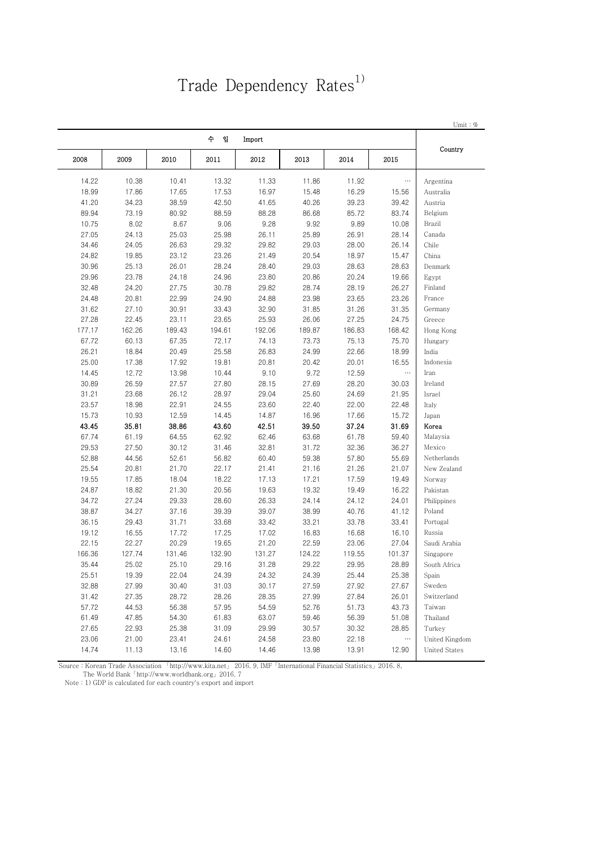# Trade Dependency Rates<sup>1)</sup>

|        |        |        |          |        |        |        |          | Umit: $%$      |
|--------|--------|--------|----------|--------|--------|--------|----------|----------------|
|        |        |        | 수<br>- 입 | Import |        |        |          | Country        |
| 2008   | 2009   | 2010   | 2011     | 2012   | 2013   | 2014   | 2015     |                |
| 14.22  | 10.38  | 10.41  | 13.32    | 11.33  | 11.86  | 11.92  | $\ldots$ | Argentina      |
| 18.99  | 17.86  | 17.65  | 17.53    | 16.97  | 15.48  | 16.29  | 15.56    | Australia      |
| 41.20  | 34.23  | 38.59  | 42.50    | 41.65  | 40.26  | 39.23  | 39.42    | Austria        |
| 89.94  | 73.19  | 80.92  | 88.59    | 88.28  | 86.68  | 85.72  | 83.74    | Belgium        |
| 10.75  | 8.02   | 8.67   | 9.06     | 9.28   | 9.92   | 9.89   | 10.08    | Brazil         |
| 27.05  | 24.13  | 25.03  | 25.98    | 26.11  | 25.89  | 26.91  | 28.14    | Canada         |
| 34.46  | 24.05  | 26.63  | 29.32    | 29.82  | 29.03  | 28.00  | 26.14    | Chile          |
| 24.82  | 19.85  | 23.12  | 23.26    | 21.49  | 20.54  | 18.97  | 15.47    | China          |
| 30.96  | 25.13  | 26.01  | 28.24    | 28.40  | 29.03  | 28.63  | 28.63    | Denmark        |
| 29.96  | 23.78  | 24.18  | 24.96    | 23.80  | 20.86  | 20.24  | 19.66    | Egypt          |
| 32.48  | 24.20  | 27.75  | 30.78    | 29.82  | 28.74  | 28.19  | 26.27    | Finland        |
| 24.48  | 20.81  | 22.99  | 24.90    | 24.88  | 23.98  | 23.65  | 23.26    | France         |
| 31.62  | 27.10  | 30.91  | 33.43    | 32.90  | 31.85  | 31.26  | 31.35    | Germany        |
| 27.28  | 22.45  | 23.11  | 23.65    | 25.93  | 26.06  | 27.25  | 24.75    | Greece         |
| 177.17 | 162.26 | 189.43 | 194.61   | 192.06 | 189.87 | 186.83 | 168.42   | Hong Kong      |
| 67.72  | 60.13  | 67.35  | 72.17    | 74.13  | 73.73  | 75.13  | 75.70    | Hungary        |
| 26.21  | 18.84  | 20.49  | 25.58    | 26.83  | 24.99  | 22.66  | 18.99    | India          |
| 25.00  | 17.38  | 17.92  | 19.81    | 20.81  | 20.42  | 20.01  | 16.55    | Indonesia      |
| 14.45  | 12.72  | 13.98  | 10.44    | 9.10   | 9.72   | 12.59  | $\cdots$ | Iran           |
| 30.89  | 26.59  | 27.57  | 27.80    | 28.15  | 27.69  | 28.20  | 30.03    | Ireland        |
| 31.21  | 23.68  | 26.12  | 28.97    | 29.04  | 25.60  | 24.69  | 21.95    | Israel         |
| 23.57  | 18.98  | 22.91  | 24.55    | 23.60  | 22.40  | 22.00  | 22.48    | Italy          |
| 15.73  | 10.93  | 12.59  | 14.45    | 14.87  | 16.96  | 17.66  | 15.72    | Japan          |
| 43.45  | 35.81  | 38.86  | 43.60    | 42.51  | 39.50  | 37.24  | 31.69    | Korea          |
| 67.74  | 61.19  | 64.55  | 62.92    | 62.46  | 63.68  | 61.78  | 59.40    | Malaysia       |
| 29.53  | 27.50  | 30.12  | 31.46    | 32.81  | 31.72  | 32.36  | 36.27    | Mexico         |
| 52.88  | 44.56  | 52.61  | 56.82    | 60.40  | 59.38  | 57.80  | 55.69    | Netherlands    |
| 25.54  | 20.81  | 21.70  | 22.17    | 21.41  | 21.16  | 21.26  | 21.07    | New Zealand    |
| 19.55  | 17.85  | 18.04  | 18.22    | 17.13  | 17.21  | 17.59  | 19.49    | Norway         |
| 24.87  | 18.82  | 21.30  | 20.56    | 19.63  | 19.32  | 19.49  | 16.22    | Pakistan       |
| 34.72  | 27.24  | 29.33  | 28.60    | 26.33  | 24.14  | 24.12  | 24.01    | Philippines    |
| 38.87  | 34.27  | 37.16  | 39.39    | 39.07  | 38.99  | 40.76  | 41.12    | Poland         |
| 36.15  | 29.43  | 31.71  | 33.68    | 33.42  | 33.21  | 33.78  | 33.41    | Portugal       |
| 19.12  | 16.55  | 17.72  | 17.25    | 17.02  | 16.83  | 16.68  | 16.10    | Russia         |
| 22.15  | 22.27  | 20.29  | 19.65    | 21.20  | 22.59  | 23.06  | 27.04    | Saudi Arabia   |
| 166.36 | 127.74 | 131.46 | 132.90   | 131.27 | 124.22 | 119.55 | 101.37   | Singapore      |
| 35.44  | 25.02  | 25.10  | 29.16    | 31.28  | 29.22  | 29.95  | 28.89    | South Africa   |
| 25.51  | 19.39  | 22.04  | 24.39    | 24.32  | 24.39  | 25.44  | 25.38    | Spain          |
| 32.88  | 27.99  | 30.40  | 31.03    | 30.17  | 27.59  | 27.92  | 27.67    | Sweden         |
| 31.42  | 27.35  | 28.72  | 28.26    | 28.35  | 27.99  | 27.84  | 26.01    | Switzerland    |
| 57.72  | 44.53  | 56.38  | 57.95    | 54.59  | 52.76  | 51.73  | 43.73    | Taiwan         |
| 61.49  | 47.85  | 54.30  | 61.83    | 63.07  | 59.46  | 56.39  | 51.08    | Thailand       |
| 27.65  | 22.93  | 25.38  | 31.09    | 29.99  | 30.57  | 30.32  | 28.85    | Turkey         |
| 23.06  | 21.00  | 23.41  | 24.61    | 24.58  | 23.80  | 22.18  | $\ldots$ | United Kingdom |
|        |        | 13.16  |          |        |        |        |          |                |

Source : Korean Trade Association 「http://www.kita.net」 2016. 9, IMF「International Financial Statistics」2016. 8,

The World Bank「http://www.worldbank.org」2016. 7

Note : 1) GDP is calculated for each country's export and import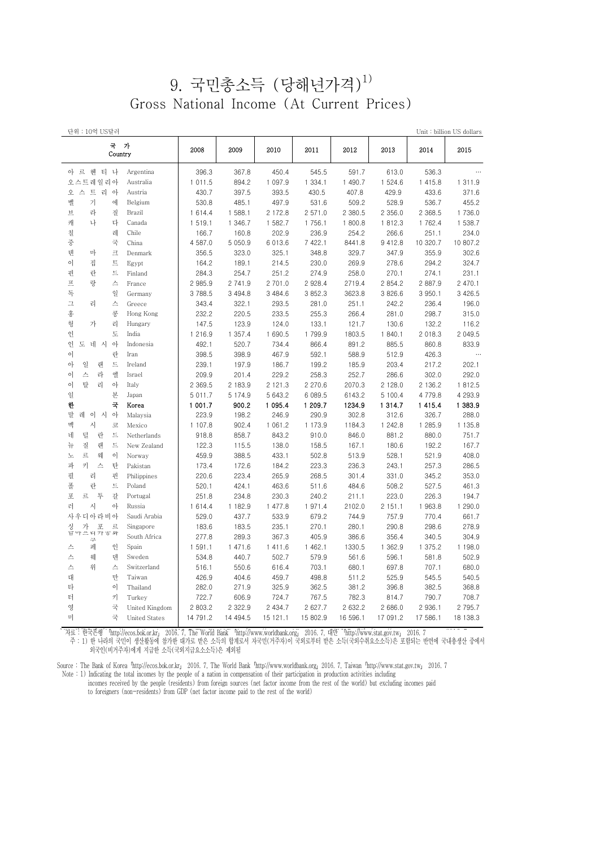### 9. 국민총소득 (당해년가격) 1) Gross National Income (At Current Prices)

| 단위 : 10억 US달러                |                      |             |             |          |           |          |           |             | Unit:billion US dollars |
|------------------------------|----------------------|-------------|-------------|----------|-----------|----------|-----------|-------------|-------------------------|
| 국 가<br>Country               |                      | 2008        | 2009        | 2010     | 2011      | 2012     | 2013      | 2014        | 2015                    |
| 아 르 헨 티 나                    | Argentina            | 396.3       | 367.8       | 450.4    | 545.5     | 591.7    | 613.0     | 536.3       | $\cdots$                |
| 오스트레일리아                      | Australia            | 1 011.5     | 894.2       | 1 097.9  | 1 3 3 4 1 | 1 490.7  | 1 524.6   | 1 4 1 5 . 8 | 1 3 1 1 . 9             |
| 오 스 트 리 아                    | Austria              | 430.7       | 397.5       | 393.5    | 430.5     | 407.8    | 429.9     | 433.6       | 371.6                   |
| 벨<br>기<br>에                  | Belgium              | 530.8       | 485.1       | 497.9    | 531.6     | 509.2    | 528.9     | 536.7       | 455.2                   |
| 旦<br>라<br>질                  | Brazil               | 1614.4      | 1 588.1     | 2 172.8  | 2 571.0   | 2 380.5  | 2 356.0   | 2 3 68.5    | 1 736.0                 |
| 캐<br>나<br>다                  | Canada               | 1 519.1     | 1 346.7     | 1 582.7  | 1756.1    | 1800.8   | 1812.3    | 1 762.4     | 1 538.7                 |
| 칠<br>레                       | Chile                | 166.7       | 160.8       | 202.9    | 236.9     | 254.2    | 266.6     | 251.1       | 234.0                   |
| 중<br>국                       | China                | 4 587.0     | 5 0 5 0.9   | 6 013.6  | 7 422.1   | 8441.8   | 9 4 1 2.8 | 10 320.7    | 10 807.2                |
| 덴<br>크<br>마                  | Denmark              | 356.5       | 323.0       | 325.1    | 348.8     | 329.7    | 347.9     | 355.9       | 302.6                   |
| 트<br>이<br>집                  | Egypt                | 164.2       | 189.1       | 214.5    | 230.0     | 269.9    | 278.6     | 294.2       | 324.7                   |
| 핀<br>란<br>트                  | Finland              | 284.3       | 254.7       | 251.2    | 274.9     | 258.0    | 270.1     | 274.1       | 231.1                   |
| 프<br>랑<br>스                  | France               | 2 985.9     | 2 741.9     | 2 701.0  | 2 928.4   | 2719.4   | 2 854.2   | 2 887.9     | 2 470.1                 |
| 독<br>일                       | Germany              | 3 788.5     | 3 4 9 4.8   | 3 484.6  | 3 852.3   | 3623.8   | 3 826.6   | 3 950.1     | 3 4 2 6.5               |
| $\mathrel{\sqcup}$<br>리<br>스 | Greece               | 343.4       | 322.1       | 293.5    | 281.0     | 251.1    | 242.2     | 236.4       | 196.0                   |
| 홍<br>콩                       | Hong Kong            | 232.2       | 220.5       | 233.5    | 255.3     | 266.4    | 281.0     | 298.7       | 315.0                   |
| 헝<br>가<br>리                  | Hungary              | 147.5       | 123.9       | 124.0    | 133.1     | 121.7    | 130.6     | 132.2       | 116.2                   |
| 인<br>도                       | India                | 1 216.9     | 1 357.4     | 1 690.5  | 1 799.9   | 1803.5   | 1 840.1   | 2 018.3     | 2 049.5                 |
| 인<br>도 네 시<br>$\circ$        | Indonesia            | 492.1       | 520.7       | 734.4    | 866.4     | 891.2    | 885.5     | 860.8       | 833.9                   |
| $\circ$<br>란                 | Iran                 | 398.5       | 398.9       | 467.9    | 592.1     | 588.9    | 512.9     | 426.3       | $\cdots$                |
| 일<br>트<br>아<br>랜             | Ireland              | 239.1       | 197.9       | 186.7    | 199.2     | 185.9    | 203.4     | 217.2       | 202.1                   |
| 라<br>엘<br>$\circ$<br>스       | Israel               | 209.9       | 201.4       | 229.2    | 258.3     | 252.7    | 286.6     | 302.0       | 292.0                   |
| $\circ$<br>탈<br>리<br>아       | Italy                | 2 3 6 9.5   | 2 183.9     | 2 121.3  | 2 270.6   | 2070.3   | 2 128.0   | 2 136.2     | 1812.5                  |
| 일<br>본                       | Japan                | 5 0 1 1 . 7 | 5 1 7 4 . 9 | 5 643.2  | 6 089.5   | 6143.2   | 5 100.4   | 4 7 7 9 . 8 | 4 293.9                 |
| 한<br>국                       | Korea                | 1 001.7     | 900.2       | 1 095.4  | 1 209.7   | 1234.9   | 1 314.7   | 1415.4      | 1 383.9                 |
| 말<br>$\circ \}$<br>레<br>이 시  | Malaysia             | 223.9       | 198.2       | 246.9    | 290.9     | 302.8    | 312.6     | 326.7       | 288.0                   |
| 멕<br>시<br>코                  | Mexico               | 1 107.8     | 902.4       | 1 061.2  | 1 173.9   | 1184.3   | 1 242.8   | 1 285.9     | 1 1 3 5 . 8             |
| 덜<br>네<br>란<br>드             | Netherlands          | 918.8       | 858.7       | 843.2    | 910.0     | 846.0    | 881.2     | 880.0       | 751.7                   |
| 질<br>랜<br>트<br>뉴             | New Zealand          | 122.3       | 115.5       | 138.0    | 158.5     | 167.1    | 180.6     | 192.2       | 167.7                   |
| 르<br>웨<br>이<br>노             | Norway               | 459.9       | 388.5       | 433.1    | 502.8     | 513.9    | 528.1     | 521.9       | 408.0                   |
| 파<br>키<br>탄<br>스             | Pakistan             | 173.4       | 172.6       | 184.2    | 223.3     | 236.3    | 243.1     | 257.3       | 286.5                   |
| 필<br>핀<br>리                  | Philippines          | 220.6       | 223.4       | 265.9    | 268.5     | 301.4    | 331.0     | 345.2       | 353.0                   |
| 폴<br>란<br>드                  | Poland               | 520.1       | 424.1       | 463.6    | 511.6     | 484.6    | 508.2     | 527.5       | 461.3                   |
| 포<br>르<br>투<br>갈             | Portugal             | 251.8       | 234.8       | 230.3    | 240.2     | 211.1    | 223.0     | 226.3       | 194.7                   |
| 러<br>아<br>시                  | Russia               | 1614.4      | 1 182.9     | 1 477.8  | 1971.4    | 2102.0   | 2 151.1   | 1 963.8     | 1 290.0                 |
| 사우디아라비아                      | Saudi Arabia         | 529.0       | 437.7       | 533.9    | 679.2     | 744.9    | 757.9     | 770.4       | 661.7                   |
| 가<br>포<br>르<br>싱             | Singapore            | 183.6       | 183.5       | 235.1    | 270.1     | 280.1    | 290.8     | 298.6       | 278.9                   |
| 남아쓰더가 ㅎ 와                    | South Africa         | 277.8       | 289.3       | 367.3    | 405.9     | 386.6    | 356.4     | 340.5       | 304.9                   |
| 페<br>스<br>인                  | Spain                | 1 591.1     | 1 471.6     | 1411.6   | 1 462.1   | 1330.5   | 1 362.9   | 1 375.2     | 1 198.0                 |
| 스<br>웨<br>덴                  | Sweden               | 534.8       | 440.7       | 502.7    | 579.9     | 561.6    | 596.1     | 581.8       | 502.9                   |
| 스<br>위<br>스                  | Switzerland          | 516.1       | 550.6       | 616.4    | 703.1     | 680.1    | 697.8     | 707.1       | 680.0                   |
| 대<br>만                       | Taiwan               | 426.9       | 404.6       | 459.7    | 498.8     | 511.2    | 525.9     | 545.5       | 540.5                   |
| 타<br>$\circ$                 | Thailand             | 282.0       | 271.9       | 325.9    | 362.5     | 381.2    | 396.8     | 382.5       | 368.8                   |
| 터<br>키                       | Turkey               | 722.7       | 606.9       | 724.7    | 767.5     | 782.3    | 814.7     | 790.7       | 708.7                   |
| 영<br>국                       | United Kingdom       | 2 803.2     | 2 3 2 2 . 9 | 2 434.7  | 2 627.7   | 2 632.2  | 2 686.0   | 2 936.1     | 2 795.7                 |
| 미<br>국                       | <b>United States</b> | 14 791.2    | 14 494.5    | 15 121.1 | 15 802.9  | 16 596.1 | 17 091.2  | 17 586.1    | 18 138.3                |
|                              |                      |             |             |          |           |          |           |             |                         |

. 자료 : 한국은행 「http://ecos.bok.or.kr」 2016. 7. The World Bank 「http://www.worldbank.org」 2016. 7. 대만 「http://www.stat.gov.tw」 2016. 7 주 : 1) 한 나라의 국민이 생산활동에 참가한 대가로 받은 소득의 합계로서 자국민(거주자)이 국외로부터 받은 소득(국외수취요소소득)은 포함되는 반면에 국내총생산 중에서 외국인(비거주자)에게 지급한 소득(국외지급요소소득)은 제외됨

Source : The Bank of Korea http://ecos.bok.or.kr」 2016. 7, The World Bank http://www.worldbank.org」 2016. 7, Taiwan http://www.stat.gov.tw」 2016. 7 Note : 1) Indicating the total incomes by the people of a nation in compensation of their participation in production activities including incomes received by the people (residents) from foreign sources (net factor income from the rest of the world) but excluding incomes paid

to foreigners (non-residents) from GDP (net factor income paid to the rest of the world)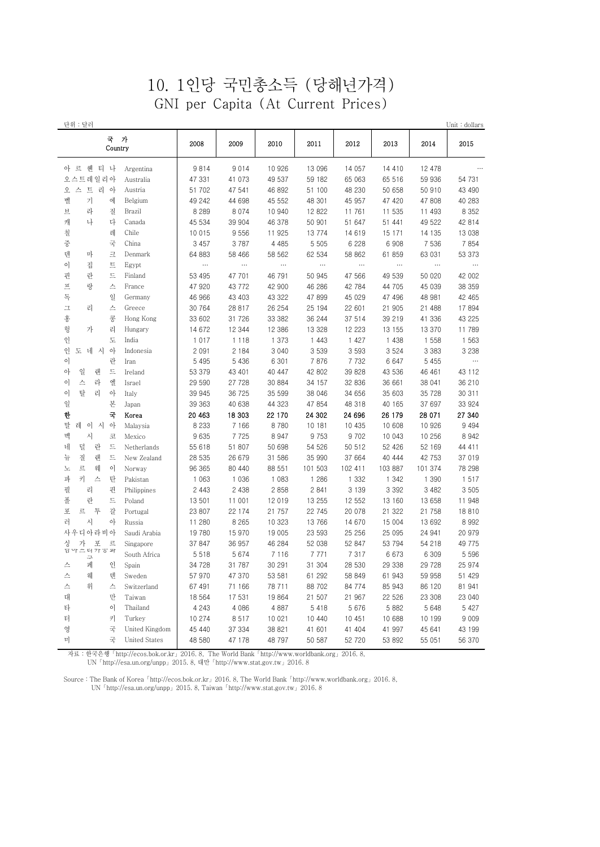### 10. 1인당 국민총소득 (당해년가격) GNI per Capita (At Current Prices)

| 단위 : 달러                       |                      |          |          |          |          |          |          |          | Unit : dollars |
|-------------------------------|----------------------|----------|----------|----------|----------|----------|----------|----------|----------------|
| 국 가<br>Country                |                      | 2008     | 2009     | 2010     | 2011     | 2012     | 2013     | 2014     | 2015           |
| 아 르 헨 티 나                     | Argentina            | 9814     | 9014     | 10 926   | 13 096   | 14 057   | 14 410   | 12 478   |                |
| 오스트레일리아                       | Australia            | 47 331   | 41 073   | 49 537   | 59 182   | 65 063   | 65 516   | 59 936   | 54 731         |
| 스 트 리 아<br>오                  | Austria              | 51 702   | 47 541   | 46 892   | 51 100   | 48 230   | 50 658   | 50 910   | 43 490         |
| 벨<br>키<br>에                   | Belgium              | 49 242   | 44 698   | 45 552   | 48 301   | 45 957   | 47 420   | 47 808   | 40 283         |
| 브<br>라<br>질                   | Brazil               | 8 2 8 9  | 8 0 7 4  | 10 940   | 12 822   | 11 761   | 11 535   | 11 493   | 8 3 5 2        |
| 캐<br>나<br>다                   | Canada               | 45 534   | 39 904   | 46 378   | 50 901   | 51 647   | 51 441   | 49 522   | 42 814         |
| 칠<br>레                        | Chile                | 10 015   | 9556     | 11 925   | 13774    | 14 619   | 15 171   | 14 135   | 13 038         |
| 중<br>국                        | China                | 3 4 5 7  | 3787     | 4 4 8 5  | 5 5 0 5  | 6 2 2 8  | 6 9 0 8  | 7 5 3 6  | 7854           |
| 덴<br>마<br>크                   | Denmark              | 64 883   | 58 466   | 58 562   | 62 534   | 58 862   | 61 859   | 63 031   | 53 373         |
| 이<br>트<br>집                   | Egypt                | $\cdots$ | $\ldots$ | $\cdots$ | $\cdots$ | $\cdots$ | $\cdots$ | $\cdots$ | $\cdots$       |
| 란<br>핀<br>드                   | Finland              | 53 495   | 47 701   | 46 791   | 50 945   | 47 566   | 49 539   | 50 020   | 42 002         |
| 프<br>랑<br>스                   | France               | 47 920   | 43 7 7 2 | 42 900   | 46 286   | 42 784   | 44 705   | 45 039   | 38 359         |
| 독<br>일                        | Germany              | 46 966   | 43 403   | 43 322   | 47 899   | 45 029   | 47 496   | 48 981   | 42 465         |
| ユ<br>리<br>스                   | Greece               | 30 764   | 28 817   | 26 254   | 25 194   | 22 601   | 21 905   | 21 488   | 17894          |
| 홍<br>콩                        | Hong Kong            | 33 602   | 31 7 26  | 33 382   | 36 244   | 37 514   | 39 219   | 41 336   | 43 225         |
| 헝<br>가<br>리                   | Hungary              | 14 672   | 12 344   | 12 386   | 13 328   | 12 223   | 13 155   | 13 370   | 11 789         |
| 인<br>도                        | India                | 1 0 1 7  | 1 1 1 8  | 1 373    | 1 4 4 3  | 1 4 2 7  | 1 4 3 8  | 1 5 5 8  | 1 5 6 3        |
| 인<br>도<br>네<br>아<br>시         | Indonesia            | 2 0 9 1  | 2 1 8 4  | 3 0 4 0  | 3 5 3 9  | 3 5 9 3  | 3 5 2 4  | 3 3 8 3  | 3 2 3 8        |
| 란<br>이                        | Iran                 | 5 4 9 5  | 5 4 3 6  | 6 301    | 7876     | 7 7 3 2  | 6 6 4 7  | 5 4 5 5  | $\cdots$       |
| 일<br>드<br>아<br>랜              | Ireland              | 53 379   | 43 401   | 40 447   | 42 802   | 39 828   | 43 536   | 46 461   | 43 112         |
| 스<br>엘<br>라<br>이              | Israel               | 29 590   | 27 7 28  | 30 884   | 34 157   | 32 836   | 36 661   | 38 041   | 36 210         |
| 탈<br>아<br>이<br>리              | Italy                | 39 945   | 36 725   | 35 599   | 38 046   | 34 656   | 35 603   | 35 728   | 30 311         |
| 본<br>일                        | Japan                | 39 363   | 40 638   | 44 323   | 47 854   | 48 318   | 40 165   | 37 697   | 33 924         |
| 국<br>한                        | Korea                | 20 463   | 18 303   | 22 170   | 24 302   | 24 696   | 26 179   | 28 071   | 27 340         |
| 레<br>말<br>$\circ$<br>- 시<br>아 | Malaysia             | 8 2 3 3  | 7 1 6 6  | 8780     | 10 181   | 10 435   | 10 608   | 10 926   | 9 4 9 4        |
| 멕<br>시<br>코                   | Mexico               | 9 6 3 5  | 7725     | 8 9 4 7  | 9 7 5 3  | 9 7 0 2  | 10 043   | 10 256   | 8 9 4 2        |
| 덜<br>네<br>란<br>드              | Netherlands          | 55 618   | 51 807   | 50 698   | 54 526   | 50 512   | 52 426   | 52 169   | 44 411         |
| 질<br>랜<br>드<br>뉴              | New Zealand          | 28 535   | 26 679   | 31 586   | 35 990   | 37 664   | 40 444   | 42 753   | 37 019         |
| 르<br>웨<br>이<br>노              | Norway               | 96 365   | 80 440   | 88 551   | 101 503  | 102 411  | 103 887  | 101 374  | 78 298         |
| 키<br>파<br>스<br>탄              | Pakistan             | 1 0 6 3  | 1 0 3 6  | 1 0 8 3  | 1 2 8 6  | 1 3 3 2  | 1 342    | 1 3 9 0  | 1517           |
| 필<br>리<br>핀                   | Philippines          | 2 4 4 3  | 2 4 3 8  | 2 8 5 8  | 2 8 4 1  | 3 1 3 9  | 3 3 9 2  | 3 4 8 2  | 3 5 0 5        |
| 폴<br>란<br>드                   | Poland               | 13 501   | 11 001   | 12 019   | 13 255   | 12 552   | 13 160   | 13 658   | 11 948         |
| 투<br>갈<br>포<br>르              | Portugal             | 23 807   | 22 174   | 21 757   | 22 745   | 20 078   | 21 322   | 21 758   | 18810          |
| 러<br>시<br>아                   | Russia               | 11 280   | 8 2 6 5  | 10 323   | 13 766   | 14 670   | 15 004   | 13 692   | 8 9 9 2        |
| 사우디아라비아                       | Saudi Arabia         | 19 780   | 15 970   | 19 005   | 23 593   | 25 25 6  | 25 095   | 24 941   | 20 979         |
| 가<br>포<br>르<br>싱              | Singapore            | 37 847   | 36 957   | 46 284   | 52 038   | 52 847   | 53 794   | 54 218   | 49 775         |
| 甘 악 二 더 갸 ㅎ 와<br>ユ            | South Africa         | 5 5 1 8  | 5 674    | 7 1 1 6  | 7 7 7 1  | 7 3 1 7  | 6 6 7 3  | 6 309    | 5 5 9 6        |
| 스<br>페<br>인                   | Spain                | 34 728   | 31 787   | 30 291   | 31 304   | 28 530   | 29 338   | 29 728   | 25 974         |
| 스<br>웨<br>덴                   | Sweden               | 57 970   | 47 370   | 53 581   | 61 292   | 58 849   | 61 943   | 59 958   | 51 429         |
| 스<br>위<br>스                   | Switzerland          | 67 491   | 71 166   | 78 711   | 88 702   | 84 774   | 85 943   | 86 120   | 81 941         |
| 대<br>만                        | Taiwan               | 18 5 64  | 17531    | 19 864   | 21 507   | 21 967   | 22 526   | 23 308   | 23 040         |
| 이<br>타                        | Thailand             | 4 2 4 3  | 4 0 8 6  | 4 8 8 7  | 5 4 1 8  | 5 6 7 6  | 5 8 8 2  | 5 6 4 8  | 5 4 2 7        |
| 터<br>키                        | Turkey               | 10 274   | 8517     | 10 021   | 10 440   | 10 451   | 10 688   | 10 199   | 9 0 0 9        |
| 국<br>영                        | United Kingdom       | 45 440   | 37 334   | 38 821   | 41 601   | 41 404   | 41 997   | 45 641   | 43 199         |
| 국<br>미                        | <b>United States</b> | 48 580   | 47 178   | 48 797   | 50 587   | 52 720   | 53 892   | 55 051   | 56 370         |

 자료 : 한국은행「http://ecos.bok.or.kr」2016. 8, The World Bank「http://www.worldbank.org」2016. 8, UN「http://esa.un.org/unpp」2015. 8, 대만「http://www.stat.gov.tw」2016. 8

Source : The Bank of Korea「http://ecos.bok.or.kr」2016. 8, The World Bank「http://www.worldbank.org」2016. 8, UN「http://esa.un.org/unpp」2015. 8, Taiwan「http://www.stat.gov.tw」2016. 8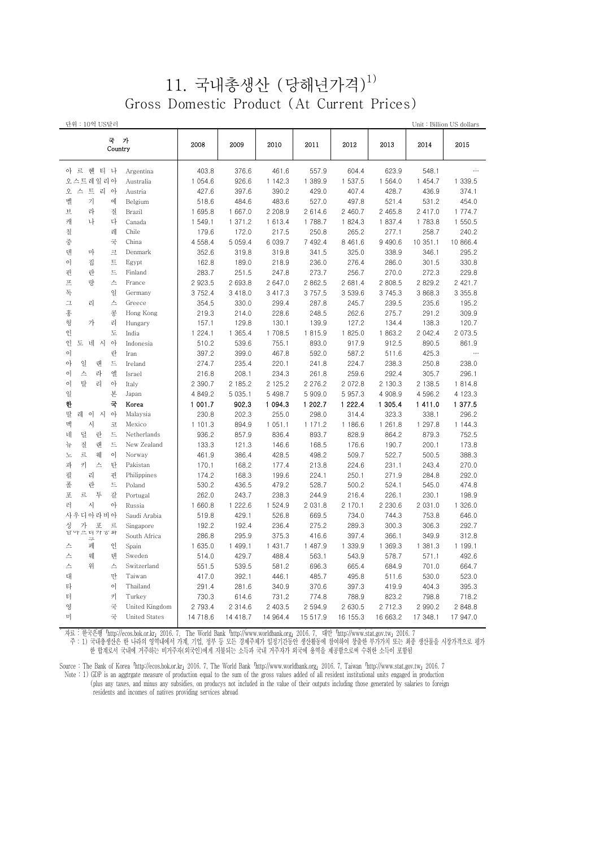#### 11. 국내총생산 (당해년가격) 1) Gross Domestic Product (At Current Prices)

| 단위 : 10억 US달러            |                |             |             |           |             |             |             |           | Unit: Billion US dollars |
|--------------------------|----------------|-------------|-------------|-----------|-------------|-------------|-------------|-----------|--------------------------|
| 국<br>Country             | 가              | 2008        | 2009        | 2010      | 2011        | 2012        | 2013        | 2014      | 2015                     |
| 아 르 헨 티 나                | Argentina      | 403.8       | 376.6       | 461.6     | 557.9       | 604.4       | 623.9       | 548.1     | $\cdots$                 |
| 오스트레일리아                  | Australia      | 1 054.6     | 926.6       | 1 142.3   | 1 389.9     | 1 537.5     | 1 564.0     | 1 454.7   | 1 339.5                  |
| 오 스 트 리 아                | Austria        | 427.6       | 397.6       | 390.2     | 429.0       | 407.4       | 428.7       | 436.9     | 374.1                    |
| 벨<br>기<br>에              | Belgium        | 518.6       | 484.6       | 483.6     | 527.0       | 497.8       | 521.4       | 531.2     | 454.0                    |
| 라<br>브<br>질              | Brazil         | 1 695.8     | 1 667.0     | 2 208.9   | 2 614.6     | 2 460.7     | 2 465.8     | 2 417.0   | 1 774.7                  |
| 캐<br>나<br>다              | Canada         | 1 549.1     | 1 371.2     | 1 613.4   | 1788.7      | 1 824.3     | 1 837.4     | 1 783.8   | 1 550.5                  |
| 칠<br>레                   | Chile          | 179.6       | 172.0       | 217.5     | 250.8       | 265.2       | 277.1       | 258.7     | 240.2                    |
| 중<br>국                   | China          | 4 5 5 8 . 4 | 5 0 5 9.4   | 6 0 39.7  | 7 492.4     | 8 4 6 1 . 6 | 9 4 9 0.6   | 10 351.1  | 10 866.4                 |
| 덴<br>크<br>마              | Denmark        | 352.6       | 319.8       | 319.8     | 341.5       | 325.0       | 338.9       | 346.1     | 295.2                    |
| 트<br>이<br>집              | Egypt          | 162.8       | 189.0       | 218.9     | 236.0       | 276.4       | 286.0       | 301.5     | 330.8                    |
| 핀<br>란<br>트              | Finland        | 283.7       | 251.5       | 247.8     | 273.7       | 256.7       | 270.0       | 272.3     | 229.8                    |
| 프<br>랑<br>스              | France         | 2 923.5     | 2 693.8     | 2 647.0   | 2 862.5     | 2 681.4     | 2 808.5     | 2829.2    | 2 421.7                  |
| 독<br>일                   | Germany        | 3 7 5 2.4   | 3 4 1 8 . 0 | 3 417.3   | 3757.5      | 3 539.6     | 3 7 4 5 . 3 | 3 868.3   | 3 3 5 5.8                |
| 스<br>그<br>리              | Greece         | 354.5       | 330.0       | 299.4     | 287.8       | 245.7       | 239.5       | 235.6     | 195.2                    |
| 홍<br>콩                   | Hong Kong      | 219.3       | 214.0       | 228.6     | 248.5       | 262.6       | 275.7       | 291.2     | 309.9                    |
| 헝<br>가<br>리              | Hungary        | 157.1       | 129.8       | 130.1     | 139.9       | 127.2       | 134.4       | 138.3     | 120.7                    |
| 인<br>도                   | India          | 1 2 2 4 1   | 1 365.4     | 1 708.5   | 1815.9      | 1 825.0     | 1863.2      | 2 042.4   | 2 073.5                  |
| 인<br>도 네 시<br>$\circ$    | Indonesia      | 510.2       | 539.6       | 755.1     | 893.0       | 917.9       | 912.5       | 890.5     | 861.9                    |
| 이<br>란                   | Iran           | 397.2       | 399.0       | 467.8     | 592.0       | 587.2       | 511.6       | 425.3     | $\cdots$                 |
| 일<br>트<br>아<br>랜         | Ireland        | 274.7       | 235.4       | 220.1     | 241.8       | 224.7       | 238.3       | 250.8     | 238.0                    |
| 엘<br>이<br>스<br>라         | Israel         | 216.8       | 208.1       | 234.3     | 261.8       | 259.6       | 292.4       | 305.7     | 296.1                    |
| 탈<br>이<br>리<br>아         | Italy          | 2 390.7     | 2 185.2     | 2 125.2   | 2 2 7 6 . 2 | 2 072.8     | 2 130.3     | 2 138.5   | 1814.8                   |
| 일<br>본                   | Japan          | 4 849.2     | 5 0 3 5.1   | 5 4 9 8.7 | 5 909.0     | 5 957.3     | 4 908.9     | 4 5 9 6.2 | 4 1 2 3 . 3              |
| 국<br>한                   | Korea          | 1 001.7     | 902.3       | 1 094.3   | 1 202.7     | 1 222.4     | 1 305.4     | 1411.0    | 1 377.5                  |
| 말<br>레<br>$\circ$<br>이 시 | Malaysia       | 230.8       | 202.3       | 255.0     | 298.0       | 314.4       | 323.3       | 338.1     | 296.2                    |
| 멕<br>시<br>코              | Mexico         | 1 101.3     | 894.9       | 1 051.1   | 1 171.2     | 1 186.6     | 1 261.8     | 1 297.8   | 1 144.3                  |
| 네<br>덜<br>란<br>트         | Netherlands    | 936.2       | 857.9       | 836.4     | 893.7       | 828.9       | 864.2       | 879.3     | 752.5                    |
| 질<br>랜<br>트<br>뉴         | New Zealand    | 133.3       | 121.3       | 146.6     | 168.5       | 176.6       | 190.7       | 200.1     | 173.8                    |
| 르<br>웨<br>$\circ$<br>노   | Norway         | 461.9       | 386.4       | 428.5     | 498.2       | 509.7       | 522.7       | 500.5     | 388.3                    |
| 키<br>파<br>스<br>탄         | Pakistan       | 170.1       | 168.2       | 177.4     | 213.8       | 224.6       | 231.1       | 243.4     | 270.0                    |
| 필<br>펀<br>리              | Philippines    | 174.2       | 168.3       | 199.6     | 224.1       | 250.1       | 271.9       | 284.8     | 292.0                    |
| 폴<br>란<br>트              | Poland         | 530.2       | 436.5       | 479.2     | 528.7       | 500.2       | 524.1       | 545.0     | 474.8                    |
| 포<br>투<br>르<br>갈         | Portugal       | 262.0       | 243.7       | 238.3     | 244.9       | 216.4       | 226.1       | 230.1     | 198.9                    |
| 러<br>시<br>아              | Russia         | 1 660.8     | 1 222.6     | 1 524.9   | 2 031.8     | 2 170.1     | 2 2 3 0 . 6 | 2 031.0   | 1 326.0                  |
| 사우디아라비아                  | Saudi Arabia   | 519.8       | 429.1       | 526.8     | 669.5       | 734.0       | 744.3       | 753.8     | 646.0                    |
|                          | Singapore      | 192.2       | 192.4       | 236.4     | 275.2       | 289.3       | 300.3       | 306.3     | 292.7                    |
| 싱 가 포 르<br>남아프리카ㅎ와       | South Africa   | 286.8       | 295.9       | 375.3     | 416.6       | 397.4       | 366.1       | 349.9     | 312.8                    |
| 구<br>페<br>인<br>스         | Spain          | 1 635.0     | 1 499.1     | 1 431.7   | 1 487.9     | 1 339.9     | 1 369.3     | 1 381.3   | 1 199.1                  |
| 스<br>웨<br>덴              | Sweden         | 514.0       | 429.7       | 488.4     | 563.1       | 543.9       | 578.7       | 571.1     | 492.6                    |
| 스<br>위<br>스              | Switzerland    | 551.5       | 539.5       | 581.2     | 696.3       | 665.4       | 684.9       | 701.0     | 664.7                    |
| 대<br>만                   | Taiwan         | 417.0       | 392.1       | 446.1     | 485.7       | 495.8       | 511.6       | 530.0     | 523.0                    |
| 타<br>$\circ$             | Thailand       | 291.4       | 281.6       | 340.9     | 370.6       | 397.3       | 419.9       | 404.3     | 395.3                    |
| 터<br>키                   | Turkey         | 730.3       | 614.6       | 731.2     | 774.8       | 788.9       | 823.2       | 798.8     | 718.2                    |
| 영<br>국                   | United Kingdom | 2 7 9 3 . 4 | 2 3 1 4 . 6 | 2 403.5   | 2 594.9     | 2 630.5     | 2 7 1 2 . 3 | 2 990.2   | 2 848.8                  |
| 미<br>국                   | United States  | 14 718.6    | 14 418.7    | 14 964.4  | 15 517.9    | 16 155.3    | 16 663.2    | 17 348.1  | 17 947.0                 |
|                          |                |             |             |           |             |             |             |           |                          |

` 자료: 한국은행 'http://ecos.bok.or.kr」 2016.7, The World Bank 'http://www.worldbank.org」 2016.7, 대만 'http://www.stat.gov.tw」 2016.7

 주 : 1) 국내총생산은 한 나라의 영역내에서 가계, 기업, 정부 등 모든 경제주체가 일정기간동안 생산활동에 참여하여 창출한 부가가치 또는 최종 생산물을 시장가격으로 평가 한 합계로서 국내에 거주하는 비거주자(외국인)에게 지불되는 소득과 국내 거주자가 외국에 용역을 제공함으로써 수취한 소득이 포함됨

Source : The Bank of Korea「http://ecos.bok.or.kr」2016. 7, The World Bank「http://www.worldbank.org」2016. 7, Taiwan「http://www.stat.gov.tw」2016. 7 Note : 1) GDP is an aggtrgate measure of production equal to the sum of the gross values added of all resident institutional units engaged in production (plus any taxes, and minus any subsidies, on producys not included in the value of their outputs including those generated by salaries to foreign residents and incomes of natives providing services abroad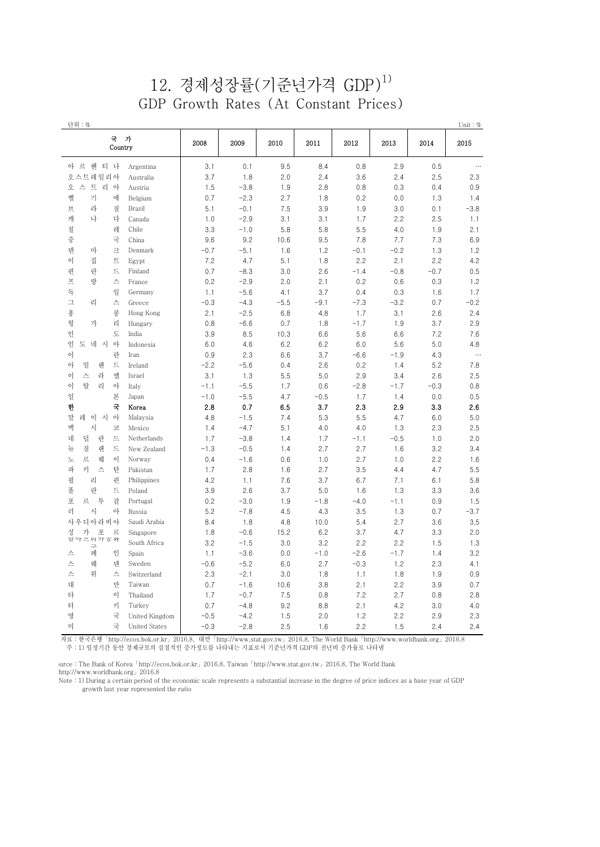### $12.$  경제성장률(기준년가격 GDP) $^{1)}$ GDP Growth Rates (At Constant Prices)

| 단위 : %                               |        |        |        |        |        |        |        | Unit: $%$ |
|--------------------------------------|--------|--------|--------|--------|--------|--------|--------|-----------|
| 국 가<br>Country                       | 2008   | 2009   | 2010   | 2011   | 2012   | 2013   | 2014   | 2015      |
| 아 르 헨 티 나<br>Argentina               | 3.1    | 0.1    | 9.5    | 8.4    | 0.8    | 2.9    | 0.5    | $\cdots$  |
| 오스트레일리아<br>Australia                 | 3.7    | 1.8    | 2.0    | 2.4    | 3.6    | 2.4    | 2.5    | 2.3       |
| 스 트 리 아<br>오<br>Austria              | 1.5    | $-3.8$ | 1.9    | 2.8    | 0.8    | 0.3    | 0.4    | 0.9       |
| 벨<br>기<br>에<br>Belgium               | 0.7    | $-2.3$ | 2.7    | 1.8    | 0.2    | 0.0    | 1.3    | 1.4       |
| 라<br>브<br>질<br>Brazil                | 5.1    | $-0.1$ | 7.5    | 3.9    | 1.9    | 3.0    | 0.1    | $-3.8$    |
| 캐<br>나<br>다<br>Canada                | 1.0    | $-2.9$ | 3.1    | 3.1    | 1.7    | 2.2    | 2.5    | 1.1       |
| 칠<br>레<br>Chile                      | 3.3    | $-1.0$ | 5.8    | 5.8    | 5.5    | 4.0    | 1.9    | 2.1       |
| 중<br>국<br>China                      | 9.6    | 9.2    | 10.6   | 9.5    | 7.8    | 7.7    | 7.3    | 6.9       |
| 덴<br>마<br>크<br>Denmark               | $-0.7$ | $-5.1$ | 1.6    | 1.2    | $-0.1$ | $-0.2$ | 1.3    | 1.2       |
| 집<br>이<br>트<br>Egypt                 | 7.2    | 4.7    | 5.1    | 1.8    | 2.2    | 2.1    | 2.2    | 4.2       |
| 핀<br>란<br>드<br>Finland               | 0.7    | $-8.3$ | 3.0    | 2.6    | $-1.4$ | $-0.8$ | $-0.7$ | 0.5       |
| 프<br>랑<br>스<br>France                | 0.2    | $-2.9$ | 2.0    | 2.1    | 0.2    | 0.6    | 0.3    | 1.2       |
| 독<br>일<br>Germany                    | 1.1    | $-5.6$ | 4.1    | 3.7    | 0.4    | 0.3    | 1.6    | 1.7       |
| 그<br>리<br>스<br>Greece                | $-0.3$ | $-4.3$ | $-5.5$ | $-9.1$ | $-7.3$ | $-3.2$ | 0.7    | $-0.2$    |
| 홍<br>콩<br>Hong Kong                  | 2.1    | $-2.5$ | 6.8    | 4.8    | 1.7    | 3.1    | 2.6    | 2.4       |
| 헝<br>가<br>리<br>Hungary               | 0.8    | $-6.6$ | 0.7    | 1.8    | $-1.7$ | 1.9    | 3.7    | 2.9       |
| 인<br>도<br>India                      | 3.9    | 8.5    | 10.3   | 6.6    | 5.6    | 6.6    | 7.2    | 7.6       |
| 인<br>도 네 시<br>아<br>Indonesia         | 6.0    | 4.6    | 6.2    | 6.2    | 6.0    | 5.6    | 5.0    | 4.8       |
| 이<br>란<br>Iran                       | 0.9    | 2.3    | 6.6    | 3.7    | $-6.6$ | $-1.9$ | 4.3    | $\ldots$  |
| 일<br>랜<br>드<br>아<br>Ireland          | $-2.2$ | $-5.6$ | 0.4    | 2.6    | 0.2    | 1.4    | 5.2    | 7.8       |
| 스<br>라<br>엘<br>이<br>Israel           | 3.1    | 1.3    | 5.5    | 5.0    | 2.9    | 3.4    | 2.6    | 2.5       |
| 탈<br>이<br>리<br>아<br>Italy            | $-1.1$ | $-5.5$ | 1.7    | 0.6    | $-2.8$ | $-1.7$ | $-0.3$ | 0.8       |
| 일<br>본<br>Japan                      | $-1.0$ | $-5.5$ | 4.7    | $-0.5$ | 1.7    | 1.4    | 0.0    | 0.5       |
| 한<br>국<br>Korea                      | 2.8    | 0.7    | 6.5    | 3.7    | 2.3    | 2.9    | 3.3    | 2.6       |
| 말<br>레<br>이 시 아<br>Malaysia          | 4.8    | $-1.5$ | 7.4    | 5.3    | 5.5    | 4.7    | 6.0    | 5.0       |
| 멕<br>시<br>코<br>Mexico                | 1.4    | $-4.7$ | 5.1    | 4.0    | 4.0    | 1.3    | 2.3    | 2.5       |
| 덜<br>네<br>란<br>드<br>Netherlands      | 1.7    | $-3.8$ | 1.4    | 1.7    | $-1.1$ | $-0.5$ | 1.0    | 2.0       |
| 질<br>랜<br>드<br>뉴<br>New Zealand      | $-1.3$ | $-0.5$ | 1.4    | 2.7    | 2.7    | 1.6    | 3.2    | 3.4       |
| 르<br>웨<br>노<br>$\circ$<br>Norway     | 0.4    | $-1.6$ | 0.6    | 1.0    | 2.7    | 1.0    | 2.2    | 1.6       |
| 파<br>키<br>스<br>탄<br>Pakistan         | 1.7    | 2.8    | 1.6    | 2.7    | 3.5    | 4.4    | 4.7    | 5.5       |
| 필<br>리<br>핀<br>Philippines           | 4.2    | 1.1    | 7.6    | 3.7    | 6.7    | 7.1    | 6.1    | 5.8       |
| 폴<br>란<br>드<br>Poland                | 3.9    | 2.6    | 3.7    | 5.0    | 1.6    | 1.3    | 3.3    | 3.6       |
| 투<br>포<br>르<br>갈<br>Portugal         | 0.2    | $-3.0$ | 1.9    | $-1.8$ | $-4.0$ | $-1.1$ | 0.9    | 1.5       |
| 시<br>러<br>아<br>Russia                | 5.2    | $-7.8$ | 4.5    | 4.3    | 3.5    | 1.3    | 0.7    | $-3.7$    |
| 사우디아라비아<br>Saudi Arabia              | 8.4    | 1.8    | 4.8    | 10.0   | 5.4    | 2.7    | 3.6    | 3.5       |
| 가<br>싱 가 포 르<br>남아프리카ㅎ와<br>Singapore | 1.8    | $-0.6$ | 15.2   | 6.2    | 3.7    | 4.7    | 3.3    | 2.0       |
| South Africa<br>$\equiv$             | 3.2    | $-1.5$ | 3.0    | 3.2    | 2.2    | 2.2    | 1.5    | 1.3       |
| 페<br>인<br>스<br>Spain                 | 1.1    | $-3.6$ | 0.0    | $-1.0$ | $-2.6$ | $-1.7$ | 1.4    | 3.2       |
| 스<br>웨<br>텐<br>Sweden                | $-0.6$ | $-5.2$ | 6.0    | 2.7    | $-0.3$ | 1.2    | 2.3    | 4.1       |
| 스<br>위<br>스<br>Switzerland           | 2.3    | $-2.1$ | 3.0    | 1.8    | 1.1    | 1.8    | 1.9    | 0.9       |
| 대<br>만<br>Taiwan                     | 0.7    | $-1.6$ | 10.6   | 3.8    | 2.1    | 2.2    | 3.9    | 0.7       |
| 타<br>이<br>Thailand                   | 1.7    | $-0.7$ | 7.5    | 0.8    | 7.2    | 2.7    | 0.8    | 2.8       |
| 터<br>키<br>Turkey                     | 0.7    | $-4.8$ | 9.2    | 8.8    | 2.1    | 4.2    | 3.0    | 4.0       |
| 영<br>국<br>United Kingdom             | $-0.5$ | $-4.2$ | 1.5    | 2.0    | 1.2    | 2.2    | 2.9    | 2.3       |
| 미<br>국<br><b>United States</b>       | $-0.3$ | $-2.8$ | 2.5    | 1.6    | 2.2    | 1.5    | 2.4    | 2.4       |

 자료 : 한국은행「http://ecos.bok.or.kr」2016.8, 대만「http://www.stat.gov.tw」2016.8, The World Bank「http://www.worldbank.org」2016.8 주 : 1) 일정기간 동안 경제규모의 실질적인 증가정도를 나타내는 지표로서 기준년가격 GDP의 전년비 증가율로 나타냄

vurce : The Bank of Korea「http://ecos.bok.or.kr」2016.8, Taiwan「http://www.stat.gov.tw」2016.8, The World Bank http://www.worldbank.org」2016.8

 Note : 1) During a certain period of the economic scale represents a substantial increase in the degree of price indices as a base year of GDP growth last year represented the ratio